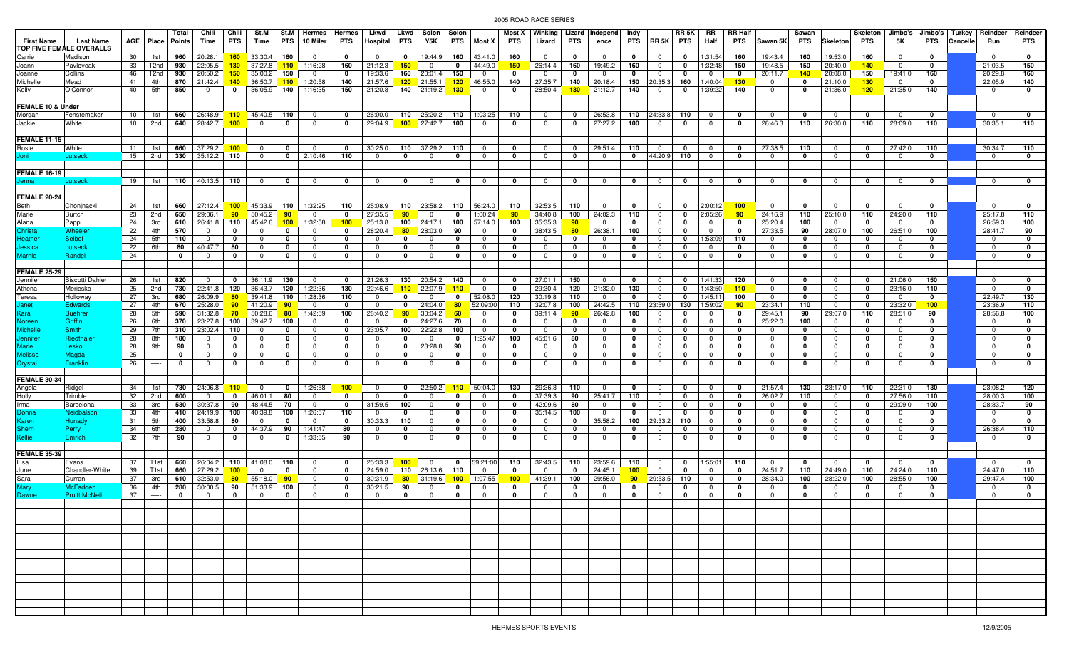| <b>First Name</b>           | <b>Last Name</b>         |            | AGE   Place        | Total  <br>Points  | Chili<br>Time                | Chili<br><b>PTS</b>    | St.M<br>Time                  | <b>PTS</b>             | St.M   Hermes   Hermes<br>10 Miler | <b>PTS</b>                  | Lkwd<br>Hospital           | <b>PTS</b>       | Lkwd   Solon<br>Y5K       | Solon<br><b>PTS</b> | Most X                     | Most X<br>PTS                   | Lizard                     | <b>PTS</b>                 | Winking Lizard Independ<br>ence | Indy                       | PTS RR 5K                  | RR 5K<br><b>PTS</b>        | RR<br>Half                    | <b>RR Half</b><br>PTS | Sawan 5K                   | Sawan<br>PTS        | <b>Skeleton</b>           | Skeleton<br>PTS    | Jimbo's<br>5K             | <b>PTS</b>         | Cancelle | Jimbo's   Turkey   Reindeer<br>Run | Reindeer<br><b>PTS</b> |
|-----------------------------|--------------------------|------------|--------------------|--------------------|------------------------------|------------------------|-------------------------------|------------------------|------------------------------------|-----------------------------|----------------------------|------------------|---------------------------|---------------------|----------------------------|---------------------------------|----------------------------|----------------------------|---------------------------------|----------------------------|----------------------------|----------------------------|-------------------------------|-----------------------|----------------------------|---------------------|---------------------------|--------------------|---------------------------|--------------------|----------|------------------------------------|------------------------|
|                             | TOP FIVE FEMALE OVERALLS |            |                    |                    |                              |                        |                               |                        |                                    |                             |                            |                  |                           |                     |                            |                                 |                            |                            |                                 |                            |                            |                            |                               |                       |                            |                     |                           |                    |                           |                    |          |                                    |                        |
| Carrie                      | Madison                  | 30         | 1st                |                    | 960 20:28.1 160              |                        | 33:30.4                       | 160                    | $\mathbf 0$                        | $\mathbf{0}$                | $\mathbf 0$                | $\mathbf 0$      | 19:44.9                   | 160                 | 43:41.0                    | 160                             | $\overline{0}$             | $\mathbf 0$                | $^{\circ}$                      | $\mathbf 0$                | $\mathbf 0$                | $\mathbf{0}$               | 1:31:54                       | 160                   | 19:43.4                    | 160                 | 19:53.0                   | 160                | $\mathbf 0$               | $\mathbf 0$        |          | $\mathbf{0}$                       | $\mathbf 0$            |
| Joann                       | Pavlovcak                | 33         | T2nd               | 930                | 22:05.5                      | 130 <sub>1</sub>       | 37:27.8                       |                        | $110$ 1:16:28                      | 160                         | 21:12.3                    | 150              | $\mathbf 0$               | 0                   | 44:49.0                    | 150                             | 26:14.4                    | 160                        | 19:49.2                         | 160                        | $^{\circ}$                 | 0                          | 1:32:48                       | 150                   | 19:48.5                    | 150                 | 20:40.0                   | 140                | $\mathbf 0$               | $\mathbf 0$        |          | 21:03.5                            | 150                    |
| Joanne<br>Michelle          | Collins                  | 46         | T <sub>2</sub> nd  | 930                | 20:50.2                      | 150 <sub>1</sub>       | 35:00.2                       | 150                    | $\Omega$<br>$110$ 1:20:58          | $\mathbf{0}$                | 19:33.6<br>21:57.6         | 160<br>120       | 20:01.4                   | 150                 | $\mathbf 0$<br>46:55.0     | $\mathbf 0$<br>140              | $\mathbf 0$                | $\mathbf 0$                | $^{\circ}$                      | $\mathbf 0$                | $\mathbf 0$                | $\mathbf 0$                | $\mathbf{0}$                  | 0                     | 20:11.7                    | 140<br>$\mathbf{0}$ | 20:08.0<br>21:10.0        | 150                | 19:41.0                   | 160                |          | 20:29.8<br>22:05.9                 | 160<br>140             |
|                             | Mead<br>O'Connor         | 41<br>40   | 4th<br>5th         | 850                | 870 $ 21:42.4$<br>$^{\circ}$ | $\mathbf{0}$           | <b>140</b> 36:50.7<br>36:05.9 | 140                    |                                    | 140<br>150                  | 21:20.8                    | 140              | 21:55.1<br>21:19.2        | 120<br>130          | $\mathbf 0$                | $\mathbf 0$                     | 27:35.7<br>28:50.4         | 140<br>130                 | 20:18.4<br>21:12.7              |                            | 150 20:35.3<br>$\mathbf 0$ | 160<br>$\mathbf 0$         | 1:40:04                       | 130<br>140            | $\mathbf 0$<br>$^{\circ}$  | $\mathbf{0}$        |                           | 130<br>120         | $\mathbf 0$<br>21:35.0    | 0<br>140           |          | $^{\circ}$                         | 0                      |
| Kelly                       |                          |            |                    |                    |                              |                        |                               |                        | 1:16:35                            |                             |                            |                  |                           |                     |                            |                                 |                            |                            |                                 | 140                        |                            |                            | 1:39:22                       |                       |                            |                     | 21:36.0                   |                    |                           |                    |          |                                    |                        |
| FEMALE 10 & Under           |                          |            |                    |                    |                              |                        |                               |                        |                                    |                             |                            |                  |                           |                     |                            |                                 |                            |                            |                                 |                            |                            |                            |                               |                       |                            |                     |                           |                    |                           |                    |          |                                    |                        |
| Morgan                      | Fenstemaker              | 10         | 1st                |                    | 660 26:48.9                  |                        | $110$ 45:40.5                 | 110                    | $\mathbf{0}$                       | $\mathbf 0$                 | 26:00.0                    |                  | 110 25:20.2               | 110                 | 1:03:25                    | 110                             | $\mathbf 0$                | $\mathbf{0}$               | 26:53.8                         |                            | $110$ 24:33.8              | 110                        | $\mathbf{0}$                  | $\mathbf{0}$          | $\mathbf{0}$               | $\mathbf 0$         | $\mathbf{0}$              | 0                  | $\mathbf 0$               | $\mathbf 0$        |          | $\mathbf 0$                        | $\mathbf 0$            |
| Jackie                      | White                    | 10         | 2nd                |                    | 640 28:42.7                  | 100 <sub>1</sub>       | $\overline{0}$                | $\mathbf 0$            | $\mathbf{0}$                       | $\mathbf 0$                 | 29:04.9                    |                  | $100$ 27:42.7             | 100                 | $\mathbf{0}$               | 0                               | $\mathbf 0$                | $\mathbf 0$                | 27:27.2                         | 100                        | $\mathbf 0$                | $\mathbf 0$                | $\mathbf 0$                   | 0                     | 28:46.3                    | 110                 | 26:30.0                   | 110                | 28:09.0                   | 110                |          | 30:35.1                            | 110                    |
|                             |                          |            |                    |                    |                              |                        |                               |                        |                                    |                             |                            |                  |                           |                     |                            |                                 |                            |                            |                                 |                            |                            |                            |                               |                       |                            |                     |                           |                    |                           |                    |          |                                    |                        |
| FEMALE 11-15                |                          |            |                    |                    |                              |                        |                               |                        |                                    |                             |                            |                  |                           |                     |                            |                                 |                            |                            |                                 |                            |                            |                            |                               |                       |                            |                     |                           |                    |                           |                    |          |                                    |                        |
| Rosie                       | White                    | 11         | 1st                | 660                | 37:29.2                      | 100                    | $\overline{0}$                | 0                      | $\Omega$                           | $\mathbf 0$                 | 30:25.0                    | 110              | 37:29.2                   | 110                 | $\mathbf 0$                | $\mathbf 0$                     | $\mathbf 0$                | $\mathbf 0$                | 29:51.4                         | 110                        | $\mathbf 0$                | $\mathbf 0$                | $\mathbf 0$                   | 0                     | 27:38.5                    | 110                 | $^{\circ}$                | 0                  | 27:42.0                   | 110                |          | 30:34.7                            | 110                    |
| Joni                        | Lutseck                  | 15         | 2nd                |                    | $330$ 35:12.2                | 110                    | $\mathbf 0$                   | $\mathbf 0$            | 2:10:46                            | 110                         | $\mathbf{0}$               | $\mathbf{0}$     | $\overline{0}$            | $\mathbf 0$         | $\mathbf 0$                | $\mathbf 0$                     | $\mathbf 0$                | $\mathbf 0$                | $\mathbf 0$                     | $\mathbf{0}$               | 44:20.9                    | 110                        | $\mathbf{0}$                  | $\mathbf{0}$          | $\mathbf{0}$               | 0                   | $\mathbf{0}$              | $\mathbf 0$        | $\mathbf 0$               | $\mathbf 0$        |          | $\mathbf{0}$                       | $\mathbf 0$            |
|                             |                          |            |                    |                    |                              |                        |                               |                        |                                    |                             |                            |                  |                           |                     |                            |                                 |                            |                            |                                 |                            |                            |                            |                               |                       |                            |                     |                           |                    |                           |                    |          |                                    |                        |
| <b>FEMALE 16-19</b>         |                          |            |                    |                    |                              |                        |                               |                        |                                    |                             |                            |                  |                           |                     |                            |                                 |                            |                            |                                 |                            |                            |                            |                               |                       |                            |                     |                           |                    |                           |                    |          |                                    |                        |
| Jenna                       | Lutseck                  | 19         | 1st                |                    | 110 $ $ 40:13.5 110          |                        | $\overline{0}$                | $\mathbf 0$            | $\mathbf{0}$                       | $\mathbf{0}$                | $\overline{0}$             | $\mathbf 0$      | $\mathbf 0$               | $\mathbf 0$         | $\mathbf 0$                | $\mathbf{0}$                    | $\mathbf 0$                | $\mathbf 0$                | $\mathbf 0$                     | $\mathbf{0}$               | $\mathbf 0$                | $\mathbf{0}$               | $\mathbf 0$                   | $\mathbf{0}$          | $\mathbf{0}$               | $\mathbf 0$         | $\overline{0}$            | $\mathbf 0$        | $\mathbf 0$               | $\mathbf 0$        |          | $\mathbf 0$                        | $\mathbf 0$            |
|                             |                          |            |                    |                    |                              |                        |                               |                        |                                    |                             |                            |                  |                           |                     |                            |                                 |                            |                            |                                 |                            |                            |                            |                               |                       |                            |                     |                           |                    |                           |                    |          |                                    |                        |
| FEMALE 20-24                |                          |            |                    |                    |                              |                        |                               |                        |                                    |                             |                            |                  |                           |                     |                            |                                 |                            |                            |                                 |                            |                            |                            |                               |                       |                            |                     |                           |                    |                           |                    |          | $\mathbf{0}$                       | 0                      |
| Beth                        | Chonjnacki<br>Burtch     | 24  <br>23 | 1st<br>2nd         | 660<br>650         | 27:12.4<br>29:06.1           | 90                     | 100 45:33.9<br>50:45.2        | 110<br>90 <sub>o</sub> | 1:32:25<br>$^{\circ}$              | 110<br>$\mathbf 0$          | 25:08.9<br>27:35.5         | 110<br>90        | 23:58.2<br>$\overline{0}$ | 110<br>0            | 56:24.0<br>1:00:24         | 110<br>90                       | 32:53.5<br>34:40.8         | 110<br>100                 | $\mathbf 0$<br>24:02.3          | $\mathbf 0$<br>110         | $\Omega$<br>$\mathbf 0$    | $\mathbf 0$<br>$\mathbf 0$ | 2:00:12<br>2:05:26            | 100<br>90             | $\mathbf 0$<br>24:16.9     | $\mathbf 0$<br>110  | $\overline{0}$<br>25:10.0 | $\mathbf 0$<br>110 | $\mathbf 0$<br>24:20.0    | $\mathbf 0$<br>110 |          | 25:17.8                            | 110                    |
| Marie<br>Alana              | Papp                     | 24         | 3rd                | 610                | 26:41.8                      | 110                    | 45:42.6                       | 100 <sub>1</sub>       | 1:32:58                            | 100                         | 25:13.8                    | 100              | 24:17.1                   | 100                 | 57:14.0                    | 100                             | 35:35.3                    | 90                         | $^{\circ}$                      | $\mathbf 0$                | $\mathbf 0$                | $\mathbf 0$                | $\overline{0}$                | $\mathbf{0}$          | 25:20.4                    | 100                 | $\overline{0}$            | 0                  | $\overline{0}$            | $\mathbf 0$        |          | 26:59.3                            | 100                    |
| Christa                     | Wheeler                  | 22         | 4th                | 570                | $^{\circ}$                   | 0                      | $\Omega$                      | $\mathbf 0$            | $\Omega$                           | $\mathbf 0$                 | 28:20.4                    | 80               | 28:03.0                   | 90                  | $\mathbf 0$                | $\mathbf 0$                     | 38:43.5                    | 80                         | 26:38.1                         | 100                        |                            | 0                          | $\mathbf 0$                   | 0                     | 27:33.5                    | 90                  | 28:07.0                   | 100                | 26:51.0                   | 100                |          | 28:41.7                            | 90                     |
| <b>Heather</b>              | Seibel                   | 24         | 5th                | 110                | $\mathbf 0$                  | 0                      | $^{\circ}$                    | $\mathbf{0}$           | $^{\circ}$                         | $\mathbf{0}$                | $\mathbf 0$                | $\mathbf{0}$     | $\overline{0}$            | 0                   | $\mathbf 0$                | $\mathbf 0$                     | $\mathbf 0$                | $\mathbf 0$                | $\mathbf 0$                     | $\mathbf{0}$               | $\mathbf 0$                | $\mathbf{0}$               | 1:53:09                       | 110                   | $\mathbf 0$                | 0                   | $\mathbf{0}$              | 0                  | $\mathbf 0$               | $\mathbf{0}$       |          | $\mathbf{0}$                       | $\mathbf 0$            |
| <b>Jessica</b>              | Lutseck                  | 22         | 6th                | 80                 | 40:47.7                      | 80                     | $\mathbf 0$                   | $\mathbf 0$            | 0                                  | 0                           | $\Omega$                   | $\mathbf{0}$     | $\mathbf 0$               | $\mathbf 0$         | $\mathbf 0$                | $\mathbf 0$                     | $\mathbf 0$                | 0                          | $\mathbf 0$                     | 0                          | $\mathbf 0$                | $\mathbf 0$                | $^{\circ}$                    | 0                     | $^{\circ}$                 | 0                   | $\mathbf 0$               | 0                  | $^{\circ}$                | $\mathbf{0}$       |          | $\mathbf 0$                        | 0                      |
| Marnie                      | Randel                   | 24         |                    | $\mathbf 0$        | $^{\circ}$                   | 0                      | $\mathbf 0$                   | $\mathbf 0$            | $\Omega$                           | 0                           | $\overline{0}$             | $\mathbf 0$      | $\mathbf 0$               | $\mathbf 0$         | $\mathbf 0$                | $\mathbf 0$                     | $\mathbf 0$                | $\mathbf 0$                | $^{\circ}$                      | 0                          | $\mathbf 0$                | 0                          | $^{\circ}$                    | 0                     | $^{\circ}$                 | 0                   | $^{\circ}$                | 0                  | $^{\circ}$                | $\mathbf{0}$       |          | $^{\circ}$                         | 0                      |
|                             |                          |            |                    |                    |                              |                        |                               |                        |                                    |                             |                            |                  |                           |                     |                            |                                 |                            |                            |                                 |                            |                            |                            |                               |                       |                            |                     |                           |                    |                           |                    |          |                                    |                        |
| <b>FEMALE 25-29</b>         |                          |            |                    |                    |                              |                        |                               |                        |                                    |                             |                            |                  |                           |                     |                            |                                 |                            |                            |                                 |                            |                            |                            |                               |                       |                            |                     |                           |                    |                           |                    |          |                                    |                        |
| Jennifer                    | <b>Biscotti Dahler</b>   | 26         | 1st                | 820                | $\mathbf 0$                  | $\mathbf{0}$           | 36:11.9                       | 130                    | $^{\circ}$                         | $\mathbf{0}$                | 21:26.3                    | 130              | 20:54.2                   | 140                 | $\mathbf 0$                | $\mathbf{0}$                    | 27:01.1                    | 150                        | $\mathbf 0$                     | $\mathbf 0$                | $\mathbf 0$                | $\mathbf{0}$               | 1:41:33                       | 120                   | $\mathbf{0}$               | 0                   | $\mathbf{0}$              | 0                  | 21:06.0                   | 150                |          | $\mathbf{0}$                       | 0                      |
| Athena                      | Mericsko                 | 25         | 2nd                | 730                | 22:41.8                      | 120                    | 36:43.7                       | 120                    | 1:22:36                            | 130                         | 22:46.6                    | 110              | 22:07.9                   | 110                 | $\mathbf 0$                | $\mathbf 0$                     | 29:30.4                    | 120                        | 21:32.0                         | 130                        | $\mathbf 0$                | $\mathbf 0$                | 1:43:50                       | 110                   | $\mathbf{0}$               | 0                   | $\mathbf 0$               | 0                  | 23:16.0                   | 110                |          | $\mathbf{0}$                       | 0                      |
| Teresa                      | Holloway                 | 27         | 3rd                | 680                | 26:09.9                      | 80 <sub>o</sub>        | 39:41.8                       | 110                    | 1:28:36                            | 110                         | $\mathbf{0}$               | $\mathbf 0$      | $\mathbf 0$               | $\mathbf{0}$        | 52:08.0                    | 120                             | 30:19.8                    | 110                        | $\mathbf 0$                     | 0                          | $\mathbf 0$                | $\mathbf 0$                | 1:45:11                       | 100                   | $\mathbf 0$                | 0                   | $\overline{0}$            | 0                  | $\overline{0}$            | 0                  |          | 22:49.7                            | 130                    |
| Janet                       | Edwards                  | 27         | 4th                | 670                | 25:28.0                      | 90 <sub>o</sub>        | 41:20.9                       | 90                     | $\Omega$                           | $\mathbf 0$                 | $\overline{0}$             | $\mathbf 0$      | 24:04.0                   | 80                  | 52:09:00                   | 110                             | 32:07.8                    | 100                        | 24:42.5                         | 110                        | 23:59.0                    | 130                        | 1:59:02                       | $-90$                 | 23:34.1                    | 110                 | $\overline{0}$            | $\mathbf 0$        | 23:32.0                   | 100                |          | 23:36.9                            | 110                    |
| Kara                        | <b>Buehrer</b>           | 28         | 5th                | 590                | 31:32.8                      | 70 <sub>2</sub>        | 50:28.6                       | 80                     | 1:42:59                            | 100                         | 28:40.2                    | 90               | 30:04.2                   | 60                  | $\mathbf 0$                | $\mathbf 0$                     | 39:11.4                    | 90                         | 26:42.8                         | 100                        | $\Omega$                   | $\mathbf{0}$               | $\mathbf 0$                   | 0                     | 29:45.1                    | 90                  | 29:07.0                   | 110                | 28:51.0                   | 90                 |          | 28:56.8                            | 100                    |
| Noreer                      | Griffin                  | 26         | 6th                | 370                | 23:27.8                      | 100                    | 39:42.7                       | 100                    | $^{\circ}$                         | 0                           | $\mathbf 0$                | $\mathbf 0$      | 24:27.6                   | 70                  | $\mathbf 0$                | $\mathbf 0$                     | $\mathbf 0$                | $\mathbf 0$                | $\mathbf 0$                     | $\mathbf{0}$               | $\mathbf{0}$               | $\mathbf 0$                | $\mathbf{0}$                  | 0                     | 25:22.0                    | 100                 | $\overline{0}$            | 0                  | $\mathbf 0$               | 0                  |          | $\mathbf{0}$                       | $\mathbf 0$            |
| Michelle                    | Smith                    | 29         | 7th                | 310                | 23:02.4                      | 110                    | $\mathbf 0$                   | $\mathbf 0$            | $^{\circ}$                         | $\mathbf 0$                 | 23:05.7                    | 100              | 22:22.8                   | 100                 | $\mathbf 0$                | $\mathbf 0$                     | $\overline{0}$             | 0                          | $\mathbf 0$                     | $\mathbf 0$                | $\mathbf 0$                | $\mathbf 0$                | $\mathbf 0$                   | 0                     | $\mathbf 0$                | 0                   | $\mathbf 0$               | 0                  | $^{\circ}$                | 0                  |          | $\mathbf{0}$                       | 0                      |
| Jennifer                    | Riedthale                | 28         | 8th                | 180                | $^{\circ}$                   | 0                      | $\mathbf 0$                   | $\mathbf 0$            | $\Omega$                           | $\mathbf 0$                 | $\mathbf{0}$               | $\mathbf 0$      | $\overline{0}$            | $\mathbf 0$         | 1:25:47                    | 100                             | 45:01.6                    | 80                         | $^{\circ}$                      | 0                          | $\mathbf 0$                | $\mathbf 0$                | $\mathbf 0$                   | 0                     | $\mathbf 0$                | 0                   | $\overline{0}$            | 0                  | $^{\circ}$                | $\mathbf 0$        |          | $^{\circ}$                         | 0                      |
| Marie<br>Melissa<br>Crystal | Lesko                    | 28         | 9th                | 90<br>$\mathbf{0}$ | $^{\circ}$                   | $\mathbf 0$            | $^{\circ}$<br>$\overline{0}$  | $\mathbf 0$            | $\Omega$<br>$\Omega$               | $\mathbf 0$<br>$\mathbf{0}$ | $\overline{0}$<br>$\Omega$ | $\mathbf 0$<br>0 | 23:28.8<br>$\mathbf{0}$   | 90<br>$\mathbf{0}$  | $^{\circ}$                 | $\mathbf 0$<br>$\mathbf 0$      | $\mathbf 0$                | 0                          | $^{\circ}$                      | $\mathbf 0$                | $\mathbf 0$                | $\mathbf{0}$<br>0          | $^{\circ}$                    | $\mathbf 0$           | $\mathbf 0$<br>$\mathbf 0$ | 0<br>0              | $\mathbf 0$               | 0<br>0             | $^{\circ}$                | $\mathbf 0$<br>0   |          | $\mathbf 0$<br>$\mathbf{0}$        | $\mathbf 0$<br>0       |
|                             | Magda<br>Franklin        | 25<br>26   | 1.1.1.1<br>1.1.1.1 | $\mathbf 0$        | $\mathbf 0$<br>$\mathbf 0$   | 0<br>0                 | $\mathbf 0$                   | 0<br>0                 | $^{\circ}$                         | $\mathbf 0$                 | $\mathbf 0$                | $\mathbf 0$      | $\overline{0}$            | $\mathbf 0$         | $\mathbf 0$<br>$\mathbf 0$ | $\mathbf 0$                     | $\mathbf 0$<br>$\mathbf 0$ | $\mathbf 0$<br>$\mathbf 0$ | $\mathbf 0$<br>$\mathbf 0$      | $\mathbf 0$<br>$\mathbf 0$ | $^{\circ}$<br>$\mathbf 0$  | $\mathbf{0}$               | $\mathbf 0$<br>$\mathbf 0$    | 0<br>0                | $\mathbf{0}$               | 0                   | $^{\circ}$<br>$\mathbf 0$ | 0                  | $^{\circ}$<br>$\mathbf 0$ | 0                  |          | $\mathbf 0$                        | 0                      |
|                             |                          |            |                    |                    |                              |                        |                               |                        |                                    |                             |                            |                  |                           |                     |                            |                                 |                            |                            |                                 |                            |                            |                            |                               |                       |                            |                     |                           |                    |                           |                    |          |                                    |                        |
| <b>FEMALE 30-34</b>         |                          |            |                    |                    |                              |                        |                               |                        |                                    |                             |                            |                  |                           |                     |                            |                                 |                            |                            |                                 |                            |                            |                            |                               |                       |                            |                     |                           |                    |                           |                    |          |                                    |                        |
| Angela                      | Ridgel                   | 34         | 1st                | 730                | 24:06.8                      | 110                    | $\overline{0}$                | $\mathbf 0$            | 1:26:58                            | 100                         | $\mathbf 0$                | $\mathbf 0$      | 22:50.2                   | 110                 | 50:04.0                    | 130                             | 29:36.3                    | 110                        | $\overline{0}$                  | 0                          | $\mathbf 0$                | $\mathbf 0$                | $\overline{0}$                | $\mathbf{0}$          | 21:57.4                    | 130                 | 23:17.0                   | 110                | 22:31.0                   | 130                |          | 23:08.2                            | 120                    |
| Holly                       | Trimble                  | 32         | 2nd                | 600                | $^{\circ}$                   | $\mathbf 0$            | 46:01.1                       | 80                     | $\Omega$                           | $\mathbf 0$                 | $\mathbf 0$                | $\mathbf 0$      | $\mathbf 0$               | $\mathbf 0$         | $\mathbf{0}$               | $\mathbf 0$                     | 37:39.3                    | 90                         | 25:41.7                         | 110                        | $^{\circ}$                 | $\mathbf 0$                | $\mathbf 0$                   | 0                     | 26:02.7                    | 110                 | $\mathbf 0$               | 0                  | 27:56.0                   | 110                |          | 28:00.3                            | 100                    |
| Irma                        | Barcelona                | 33         | 3rd                | 530                | 30:37.8                      | 90                     | 48:44.5                       | 70                     | $^{\circ}$                         | $\mathbf{0}$                | 31:59.5                    | 100              | $\overline{0}$            | $\mathbf 0$         | $\mathbf{0}$               | $\mathbf 0$                     | 42:09.6                    | 80                         | $\mathbf 0$                     | $\mathbf 0$                | $^{\circ}$                 | $\mathbf 0$                | $\mathbf 0$                   | 0                     | $\mathbf 0$                | 0                   | $\mathbf{0}$              | 0                  | 29:09.0                   | 100                |          | 28:33.7                            | 90                     |
| Donna                       | Neidbalsor               | 33         | 4th                | 410                | 24:19.9                      | 100                    | 40:39.8                       | 100                    | 1:26:57                            | 110                         | $\mathbf{0}$               | $\mathbf{0}$     | $\mathbf 0$               | $\mathbf 0$         | $\mathbf 0$                | $\mathbf 0$                     | 35:14.5                    | 100                        | $\mathbf 0$                     | $\mathbf 0$                | $\mathbf 0$                | $\mathbf 0$                | $\mathbf 0$                   | 0                     | $^{\circ}$                 | 0                   | $\mathbf 0$               | $\mathbf{0}$       | $\mathbf 0$               | 0                  |          | $^{\circ}$                         | 0                      |
| Karen                       | Hunady                   | 31         | 5th                | 400                | 33:58.8                      | 80                     | $\mathbf 0$                   | 0                      | $\Omega$                           | $\mathbf 0$                 | 30:33.3                    | 110              | $\mathbf 0$               | $\mathbf 0$         | $^{\circ}$                 | $\mathbf 0$                     | $\overline{0}$             | 0                          | 35:58.2                         | 100                        | 29:33.2                    | 110                        | $\mathbf 0$                   | 0                     | $\mathbf 0$                | 0                   | $\overline{0}$            | 0                  | $^{\circ}$                | $\mathbf 0$        |          | $^{\circ}$                         | $\mathbf 0$            |
| Sherri                      | Perry                    | 34         | 6th                | 280                | $^{\circ}$                   | $\mathbf 0$            | 44:37.9                       | 90                     | 1:41:47                            | 80                          | $\overline{0}$             | $\mathbf 0$      | $\mathbf 0$               | $\mathbf 0$         | $\mathbf 0$                | $\mathbf{0}$                    | $\mathbf 0$                | $\mathbf 0$                | $^{\circ}$                      | $\mathbf 0$                | $^{\circ}$                 | $\mathbf{0}$               | $^{\circ}$                    | $\mathbf 0$           | $\mathbf 0$                | $\Omega$            | $\mathbf 0$               | $\mathbf{0}$       | $\mathbf 0$               | $\mathbf 0$        |          | 26:38.4                            | 110                    |
| Kellie                      | Emrich                   | 32         | 7th                | 90                 | $\overline{0}$               | $\mathbf 0$            | $\mathbf 0$                   | 0                      | 1:33:55                            | 90                          | $\mathbf 0$                | $\mathbf 0$      | $\mathbf 0$               | $\mathbf 0$         | $\mathbf 0$                | $\mathbf{0}$                    | $\mathbf 0$                | $\mathbf 0$                | $\mathbf 0$                     | $\mathbf 0$                | $^{\circ}$                 | $\mathbf 0$                | $\mathbf 0$                   | 0                     | $\mathbf 0$                | $\mathbf 0$         | $\mathbf 0$               | 0                  | $\mathbf 0$               | $\mathbf{0}$       |          | $\mathbf{0}$                       | 0                      |
|                             |                          |            |                    |                    |                              |                        |                               |                        |                                    |                             |                            |                  |                           |                     |                            |                                 |                            |                            |                                 |                            |                            |                            |                               |                       |                            |                     |                           |                    |                           |                    |          |                                    |                        |
| <b>FEMALE 35-39</b>         |                          |            |                    |                    |                              |                        |                               |                        |                                    |                             |                            |                  |                           |                     |                            |                                 |                            |                            |                                 |                            |                            |                            |                               |                       |                            |                     |                           |                    |                           |                    |          |                                    |                        |
| Lisa                        | Evans                    | 37         | T1st               | 660                | 26:04.2                      | 110                    | 41:08.0                       | 110                    | $\Omega$                           | $\mathbf 0$                 | 25:33.3                    | 100              | $\overline{0}$            | $\mathbf{0}$        | 59:21:00                   | 110                             | 32:43.5                    | 110                        | 23:59.6                         | 110                        | $\mathbf 0$                | $\mathbf 0$                | 1:55:01                       | 110                   | $\mathbf 0$                | $\mathbf{0}$        | $\overline{0}$            | $\mathbf 0$        | $\overline{0}$            | $\mathbf{0}$       |          | $^{\circ}$                         | $\mathbf 0$            |
| June<br>Sara                | Chandler-White<br>Curran | 39<br>37   | T1st<br>3rd        | 660<br>610         | 27:29.2<br>32:53.0           | 100 <sub>1</sub><br>80 | $\mathbf 0$<br>55:18.0        | $\mathbf{0}$<br>90     | $\mathbf{0}$<br>$\Omega$           | $\mathbf 0$<br>$\mathbf{0}$ | 24:59.0<br>30:31.9         | 110<br>80        | 26:13.6<br>31:19.6        | 110<br>100          | $\mathbf 0$<br>1:07:55     | $\mathbf 0$<br>100 <sub>1</sub> | $\mathbf 0$<br>41:39.1     | $\mathbf 0$<br>100         | 24:45.1<br>29:56.0              | 100<br>90 <sub>o</sub>     | $\mathbf 0$<br>29:53.5     | $\mathbf 0$<br>110         | $\overline{0}$<br>$\mathbf 0$ | $\mathbf 0$<br>0      | 24:51.7<br>28:34.0         | 110<br>100          | 24:49.0<br>28:22.0        | 110<br>100         | 24:24.0<br>28:55.0        | 110<br>100         |          | 24:47.0<br>29:47.4                 | 110<br>100             |
| <b>Mary</b>                 | <b>McFadden</b>          | 36         | 4th                | 280                | 30:00.5                      | 90                     | 51:33.9                       | 100                    | $^{\circ}$                         | 0                           | 30:21.5                    | 90               | $\mathbf 0$               | $\mathbf 0$         | $\mathbf 0$                | $\mathbf 0$                     | $\mathbf 0$                | 0                          | $\mathbf 0$                     | $\mathbf 0$                | $^{\circ}$                 | $\mathbf 0$                | $\mathbf 0$                   | 0                     | $^{\circ}$                 | 0                   | $\mathbf 0$               | 0                  | $\mathbf 0$               | 0                  |          | $\mathbf{0}$                       | $\mathbf 0$            |
| Dawne                       | <b>Pruitt McNeil</b>     | 37         | $\cdots$           | $\mathbf 0$        | $\mathbf 0$                  | $\mathbf{0}$           | $^{\circ}$                    | $\mathbf 0$            | $\Omega$                           | 0                           | $\mathbf{0}$               | $\mathbf{0}$     | $\mathbf 0$               | $\mathbf 0$         | $^{\circ}$                 | $\mathbf{0}$                    | $\mathbf 0$                | 0                          | $\mathbf 0$                     | $\mathbf 0$                | $\mathbf 0$                | $\mathbf 0$                | $\mathbf 0$                   | 0                     | $^{\circ}$                 | 0                   | $\mathbf 0$               | 0                  | $\mathbf 0$               |                    |          | $\mathbf{0}$                       | $\mathbf 0$            |
|                             |                          |            |                    |                    |                              |                        |                               |                        |                                    |                             |                            |                  |                           |                     |                            |                                 |                            |                            |                                 |                            |                            |                            |                               |                       |                            |                     |                           |                    |                           |                    |          |                                    |                        |
|                             |                          |            |                    |                    |                              |                        |                               |                        |                                    |                             |                            |                  |                           |                     |                            |                                 |                            |                            |                                 |                            |                            |                            |                               |                       |                            |                     |                           |                    |                           |                    |          |                                    |                        |
|                             |                          |            |                    |                    |                              |                        |                               |                        |                                    |                             |                            |                  |                           |                     |                            |                                 |                            |                            |                                 |                            |                            |                            |                               |                       |                            |                     |                           |                    |                           |                    |          |                                    |                        |
|                             |                          |            |                    |                    |                              |                        |                               |                        |                                    |                             |                            |                  |                           |                     |                            |                                 |                            |                            |                                 |                            |                            |                            |                               |                       |                            |                     |                           |                    |                           |                    |          |                                    |                        |
|                             |                          |            |                    |                    |                              |                        |                               |                        |                                    |                             |                            |                  |                           |                     |                            |                                 |                            |                            |                                 |                            |                            |                            |                               |                       |                            |                     |                           |                    |                           |                    |          |                                    |                        |
|                             |                          |            |                    |                    |                              |                        |                               |                        |                                    |                             |                            |                  |                           |                     |                            |                                 |                            |                            |                                 |                            |                            |                            |                               |                       |                            |                     |                           |                    |                           |                    |          |                                    |                        |
|                             |                          |            |                    |                    |                              |                        |                               |                        |                                    |                             |                            |                  |                           |                     |                            |                                 |                            |                            |                                 |                            |                            |                            |                               |                       |                            |                     |                           |                    |                           |                    |          |                                    |                        |
|                             |                          |            |                    |                    |                              |                        |                               |                        |                                    |                             |                            |                  |                           |                     |                            |                                 |                            |                            |                                 |                            |                            |                            |                               |                       |                            |                     |                           |                    |                           |                    |          |                                    |                        |
|                             |                          |            |                    |                    |                              |                        |                               |                        |                                    |                             |                            |                  |                           |                     |                            |                                 |                            |                            |                                 |                            |                            |                            |                               |                       |                            |                     |                           |                    |                           |                    |          |                                    |                        |
|                             |                          |            |                    |                    |                              |                        |                               |                        |                                    |                             |                            |                  |                           |                     |                            |                                 |                            |                            |                                 |                            |                            |                            |                               |                       |                            |                     |                           |                    |                           |                    |          |                                    |                        |
|                             |                          |            |                    |                    |                              |                        |                               |                        |                                    |                             |                            |                  |                           |                     |                            |                                 |                            |                            |                                 |                            |                            |                            |                               |                       |                            |                     |                           |                    |                           |                    |          |                                    |                        |
|                             |                          |            |                    |                    |                              |                        |                               |                        |                                    |                             |                            |                  |                           |                     |                            |                                 |                            |                            |                                 |                            |                            |                            |                               |                       |                            |                     |                           |                    |                           |                    |          |                                    |                        |
|                             |                          |            |                    |                    |                              |                        |                               |                        |                                    |                             |                            |                  |                           |                     |                            |                                 |                            |                            |                                 |                            |                            |                            |                               |                       |                            |                     |                           |                    |                           |                    |          |                                    |                        |
|                             |                          |            |                    |                    |                              |                        |                               |                        |                                    |                             |                            |                  |                           |                     |                            |                                 |                            |                            |                                 |                            |                            |                            |                               |                       |                            |                     |                           |                    |                           |                    |          |                                    |                        |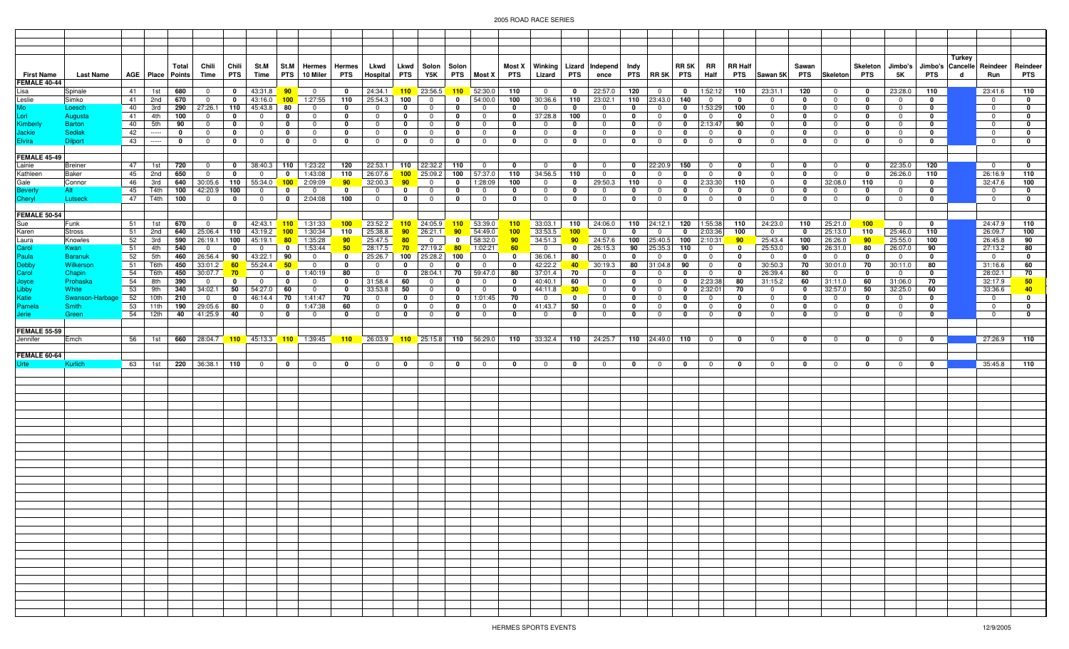|                                   |                          |          |                   |                               |                               |                             |                            |                             |                                          |                            |                            |                             |                               |                            |                                  |                            |                                                  |                   |                             |                            |                                  |                             |                                |                             |                              |                   |                                  |                            |                                    |                                                       | Turkey |                               |                             |
|-----------------------------------|--------------------------|----------|-------------------|-------------------------------|-------------------------------|-----------------------------|----------------------------|-----------------------------|------------------------------------------|----------------------------|----------------------------|-----------------------------|-------------------------------|----------------------------|----------------------------------|----------------------------|--------------------------------------------------|-------------------|-----------------------------|----------------------------|----------------------------------|-----------------------------|--------------------------------|-----------------------------|------------------------------|-------------------|----------------------------------|----------------------------|------------------------------------|-------------------------------------------------------|--------|-------------------------------|-----------------------------|
| <b>First Name</b><br>FEMALE 40-44 | Last Name                |          |                   | Total<br>AGE   Place   Points | Chili<br>Time                 | Chili<br>PTS                | St.M<br>Time               |                             | St.M   Hermes   Hermes  <br>PTS 10 Miler | <b>PTS</b>                 | Lkwd<br>Hospital           | <b>PTS</b>                  | Lkwd   Solon   Solon<br>Y5K   |                            | PTS Most X                       | PTS                        | Most X   Winking   Lizard   Independ  <br>Lizard | <b>PTS</b>        | ence                        | Indy                       | PTS RR 5K PTS                    | RR 5K                       | RR<br>Half                     | <b>RR Half</b>              | PTS Sawan 5K                 | Sawan<br>PTS      | Skeleton PTS                     | Skeleton                   | 5K                                 | Jimbo's   Jimbo's   Cancelle   Reindeer<br><b>PTS</b> | d      | Run                           | Reindeer<br><b>PTS</b>      |
| Lisa                              | Spinale                  | 41       | 1st               | 680                           | $\Omega$                      | 0                           | 43:31.8                    | 90                          | - 0                                      | $\mathbf{0}$               | 24:34.1                    | 110                         | 23:56.5                       | 110                        | 52:30.0                          | 110                        | $\overline{0}$                                   | $\mathbf 0$       | 22:57.0                     | 120                        | $\overline{0}$                   | 0                           | 1:52:12                        | 110                         | 23:31.1                      | 120               | $\overline{0}$                   | 0                          | 23:28.0                            | 110                                                   |        | 23:41.6                       | 110                         |
| Leslie                            | Simko                    | 41       | 2nd               | 670                           | $\overline{0}$                | $\mathbf{0}$                | 43:16.0                    |                             | 100 1:27:55                              | 110                        | 25:54.3                    | 100                         | $\overline{0}$                | $\mathbf{0}$               | 54:00.0                          | 100                        | 30:36.6                                          | 110               | 23:02.1                     |                            | $110$ 23:43.0                    | 140                         | $\overline{0}$                 | $\mathbf 0$                 | $\mathbf 0$                  | $\mathbf 0$       | $\overline{0}$                   | $\mathbf 0$                | $\overline{0}$                     | $\mathbf{0}$                                          |        | $\mathbf{0}$                  | $\mathbf 0$                 |
| Mo                                | Loesch                   | 40       | 3rd               | 290                           | 27:26.1                       | 110                         | 45:43.8                    | 80                          | $\overline{0}$                           | $\mathbf 0$                | $\mathbf 0$                | $\mathbf 0$                 | $\overline{0}$                | $\mathbf 0$                | $\overline{0}$                   | $\mathbf 0$                | $\overline{0}$                                   | $\mathbf 0$       | $^{\circ}$                  | 0                          | $\overline{0}$                   | 0                           | 1:53:29                        | 100                         | $\mathbf 0$                  | $\mathbf{0}$      | $\mathbf 0$                      | $\mathbf 0$                | $\mathbf 0$                        | $\mathbf 0$                                           |        | $\overline{0}$                | 0                           |
| Lori<br>Kimberly                  | Augusta                  | 41       | 4th               | 100                           | $\mathbf 0$                   | $\mathbf 0$                 | $\mathbf 0$                | 0                           | $\mathbf 0$                              | $\mathbf 0$                | $\mathbf 0$                | $\mathbf 0$                 | $\overline{0}$                | $\mathbf 0$                | $\overline{0}$                   | $\mathbf 0$                | 37:28.8                                          | 100               | $^{\circ}$                  | 0                          | $\overline{0}$                   | 0                           | $\overline{0}$                 | 0                           | $\mathbf 0$                  | $\mathbf{0}$      | $\overline{0}$                   | $\mathbf 0$                | $\mathbf 0$                        | $\mathbf 0$                                           |        | $\overline{0}$                | 0                           |
|                                   | <b>Barton</b>            | 40       | 5th               | 90                            | $^{\circ}$                    | $\mathbf 0$                 | $\mathbf 0$                | 0                           | 0                                        | $\mathbf{0}$               | $\mathbf 0$                | $\mathbf{0}$                | $\mathbf 0$                   | $\mathbf 0$                | $\mathbf 0$                      | $\mathbf 0$                | $\Omega$                                         | 0                 | $^{\circ}$                  | 0                          | $\mathbf 0$                      | $\mathbf 0$                 | 2:13:47                        | 90                          | $\mathbf 0$                  | 0                 | $\mathbf 0$                      | 0                          | $^{\circ}$                         | 0                                                     |        | $\mathbf 0$                   | $\mathbf 0$                 |
| Jackie<br>Elvira                  | Sedlak<br><b>Dilport</b> | 42<br>43 | -----<br>$\cdots$ | 0<br>$\mathbf{0}$             | $\mathbf 0$<br>$\overline{0}$ | $\mathbf 0$<br>$\mathbf{0}$ | $^{\circ}$<br>$\mathbf 0$  | $\mathbf 0$<br>$\mathbf 0$  | $\Omega$<br>$\overline{0}$               | $\mathbf 0$<br>$\mathbf 0$ | $^{\circ}$<br>$\mathbf 0$  | $\mathbf 0$<br>$\mathbf{0}$ | $\mathbf 0$<br>$\mathbf{0}$   | 0<br>$\mathbf 0$           | $\mathbf{0}$<br>$\mathbf{0}$     | $\mathbf 0$<br>$\mathbf 0$ | $\mathbf{0}$<br>$\mathbf{0}$                     | 0<br>$\mathbf 0$  | $\Omega$<br>$\mathbf{0}$    | 0<br>$\mathbf{0}$          | $\mathbf 0$<br>$\overline{0}$    | $\mathbf 0$<br>$\mathbf{0}$ | $\mathbf 0$<br>$\overline{0}$  | $\mathbf{0}$<br>$\mathbf 0$ | $^{\circ}$<br>$\overline{0}$ | 0<br>$\mathbf{0}$ | $\mathbf 0$<br>$\overline{0}$    | $\mathbf 0$<br>$\mathbf 0$ | $\mathbf 0$<br>$\mathbf{0}$        | $\mathbf{0}$<br>$\mathbf 0$                           |        | $^{\circ}$<br>$\overline{0}$  | $\mathbf 0$<br>$\mathbf 0$  |
|                                   |                          |          |                   |                               |                               |                             |                            |                             |                                          |                            |                            |                             |                               |                            |                                  |                            |                                                  |                   |                             |                            |                                  |                             |                                |                             |                              |                   |                                  |                            |                                    |                                                       |        |                               |                             |
| <b>FEMALE 45-49</b>               |                          |          |                   |                               |                               |                             |                            |                             |                                          |                            |                            |                             |                               |                            |                                  |                            |                                                  |                   |                             |                            |                                  |                             |                                |                             |                              |                   |                                  |                            |                                    |                                                       |        |                               |                             |
| Lainie                            | <b>Breiner</b>           | 47       | 1st               | 720                           | $\mathbf 0$                   | $\mathbf{0}$                | 38:40.3 110                |                             | 1:23:22                                  | 120                        | 22:53.1                    | 110                         | 22:32.2                       | 110                        | $\overline{0}$                   | $\mathbf 0$                | $\mathbf 0$                                      | 0                 | $\mathbf 0$                 | $\mathbf 0$                | 22:20.9                          | 150                         | $\mathbf 0$                    | 0                           | $\mathbf 0$                  | 0                 | $\overline{0}$                   | 0                          | 22:35.0                            | 120                                                   |        | $\overline{0}$                | $\mathbf 0$                 |
| Kathleen                          | Baker                    | 45       | 2nd               | 650                           | $\mathbf 0$                   | $\mathbf 0$                 | $\mathbf 0$                | 0                           | 1:43:08                                  | 110                        | 26:07.6                    | 100                         | 25:09.2                       | 100                        | 57:37.0                          | 110                        | 34:56.5                                          | 110               | $\overline{0}$              | $\mathbf 0$                | $\mathbf 0$                      | $\mathbf 0$                 | $\overline{0}$                 | 0                           | $\mathbf 0$                  | $\mathbf{0}$      | $\mathbf 0$                      | $\mathbf 0$                | 26:26.0                            | 110                                                   |        | 26:16.9                       | 110                         |
| Gale                              | Connor                   | 46       | 3rd               | 640                           | 30:05.6                       |                             | 110 55:34.0                | 100 <sub>1</sub>            | 2:09:09                                  | 90 <sub>o</sub>            | 32:00.3                    | 90                          | $\overline{0}$                | $\overline{0}$             | 1:28:09                          | 100                        | $\mathbf 0$                                      | $\mathbf 0$       | 29:50.3                     | 110                        | $\overline{0}$                   | $\mathbf{0}$                | 2:33:30                        | 110                         | $\overline{0}$               | $\mathbf{0}$      | 32:08.0                          | 110                        | $\mathbf{0}$                       | $\mathbf{0}$                                          |        | 32:47.6                       | 100                         |
| <b>Beverly</b><br>Cheryl          | Alt<br>Lutseck           | 45<br>47 | T4th<br>T4th      | 100<br>100                    | 42:20.9<br>$\overline{0}$     | 100<br>$\mathbf{0}$         | $\mathbf 0$<br>$\mathbf 0$ | $\mathbf 0$<br>$\mathbf{0}$ | 0<br>2:04:08                             | $\mathbf 0$<br>100         | $\mathbf 0$<br>$\mathbf 0$ | $\mathbf 0$<br>$\mathbf 0$  | $\overline{0}$<br>$\mathbf 0$ | $\mathbf 0$<br>$\mathbf 0$ | $\overline{0}$<br>$\overline{0}$ | $\mathbf 0$<br>$\mathbf 0$ | $^{\circ}$<br>$\mathbf 0$                        | 0<br>$\mathbf 0$  | $\Omega$<br>$^{\circ}$      | 0<br>$\mathbf 0$           | $\overline{0}$<br>$\mathbf 0$    | 0<br>$\mathbf 0$            | $\mathbf 0$<br>$\overline{0}$  | 0<br>$\mathbf 0$            | $\mathbf 0$<br>$\mathbf 0$   | 0<br>$\mathbf{0}$ | $^{\circ}$<br>$\overline{0}$     | $\mathbf 0$<br>$\mathbf 0$ | $\overline{0}$<br>$\overline{0}$   | $\mathbf 0$<br>$\mathbf 0$                            |        | $\overline{0}$<br>$\mathbf 0$ | 0<br>$\mathbf 0$            |
|                                   |                          |          |                   |                               |                               |                             |                            |                             |                                          |                            |                            |                             |                               |                            |                                  |                            |                                                  |                   |                             |                            |                                  |                             |                                |                             |                              |                   |                                  |                            |                                    |                                                       |        |                               |                             |
| <b>FEMALE 50-54</b>               |                          |          |                   |                               |                               |                             |                            |                             |                                          |                            |                            |                             |                               |                            |                                  |                            |                                                  |                   |                             |                            |                                  |                             |                                |                             |                              |                   |                                  |                            |                                    |                                                       |        |                               |                             |
| Sue                               | Funk                     | 51       | 1st               | 670                           | $\overline{\mathbf{0}}$       | $\mathbf{0}$                |                            |                             | 42:43.1 <b>110</b> 1:31:33               | 100 <sub>1</sub>           | 23:52.2                    | 110                         | 24:05.9                       | 110                        | 53:39.0                          | 110                        | 33:03.1                                          | 110               | 24:06.0                     |                            | $110$ 24:12.1                    | 120                         | 1:55:38                        | 110                         | 24:23.0                      | 110               | 25:21.0                          | 100                        | $\overline{0}$                     | $\mathbf 0$                                           |        | 24:47.9                       | 110                         |
| Karen                             | <b>Stross</b>            | 51       | 2nd               | 640                           | 25:06.4                       | 110                         | 43:19.2                    | 100 <sub>1</sub>            | 1:30:34                                  | 110                        | 25:38.8                    | 90                          | 26:21.1                       | 90                         | 54:49.0                          | 100                        | 33:53.5                                          | 100               | $\overline{0}$              | 0                          | $\mathbf 0$                      | $\mathbf 0$                 | 2:03:36                        | 100                         | $\overline{0}$               | $\mathbf{0}$      | 25:13.0                          | 110                        | 25:46.0                            | 110                                                   |        | 26:09.7                       | 100                         |
| Laura                             | Knowles                  | 52       | 3rd               | 590                           | 26:19.1                       | 100                         | 45:19.1                    | 80                          | 1:35:28                                  | 90 <sub>o</sub>            | 25:47.5                    | 80                          | $\mathbf 0$                   | $\mathbf 0$                | 58:32.0                          | 90                         | 34:51.3                                          | 90                | 24:57.6                     | 100                        | 25:40.5                          | 100                         | 2:10:31                        | 90 <sub>1</sub>             | 25:43.4                      | 100               | 26:26.0                          | 90 <sub>1</sub>            | 25:55.0                            | 100                                                   |        | 26:45.8                       | 90                          |
| Carol<br>Paula                    | Kwan<br><b>Baranuk</b>   | 51       | 4th<br>5th        | 540<br>460                    | $\overline{\mathbf{0}}$       | $\mathbf 0$                 | $\mathbf 0$                | $\mathbf 0$<br>90           | 1:53:44<br>$\mathbf 0$                   | 50<br>$\mathbf{0}$         | 28:17.5<br>25:26.7         | 70<br>100                   | 27:19.2<br>25:28.2            | 80<br>100                  | 1:02:21<br>$\mathbf 0$           | 60<br>0                    | $\overline{0}$                                   | $\mathbf 0$<br>80 | 26:15.3<br>$^{\circ}$       | 90<br>0                    | 25:35.3<br>$\mathbf 0$           | 110<br>0                    | $\mathbf{0}$<br>$\overline{0}$ | 0<br>0                      | 25:53.0<br>$\mathbf 0$       | 90<br>0           | 26:31.0<br>$\overline{0}$        | 80<br>$\mathbf{0}$         | 26:07.0<br>$\overline{\mathbf{0}}$ | 90<br>$\mathbf{0}$                                    |        | 27:13.2<br>$\overline{0}$     | 80<br>$\mathbf 0$           |
| Debby                             | Wilkersor                | 52<br>51 | T6th              | 450                           | 26:56.4<br>33:01.2            | 90<br>$60 -$                | 43:22.1<br>55:24.4         | $-50$                       | $\overline{0}$                           | $\mathbf 0$                | $\mathbf 0$                | $\mathbf 0$                 | $\overline{0}$                | $\mathbf 0$                | $\overline{0}$                   | $\mathbf 0$                | 36:06.1<br>42:22.2                               | $-40$             | 30:19.3                     | 80                         | 31:04.8                          | 90                          | $\overline{0}$                 | 0                           | 30:50.3                      | 70                | 30:01.0                          | 70                         | 30:11.0                            | 80                                                    |        | 31:16.6                       | 60                          |
| Carol                             | Chapin                   | 54       | T6th              | 450                           | 30:07.7                       | 70 <sub>2</sub>             | $\mathbf 0$                | $\mathbf 0$                 | 1:40:19                                  | 80                         | $\overline{0}$             | $\mathbf 0$                 | 28:04.1                       | 70                         | 59:47.0                          | 80                         | 37:01.4                                          | 70                | $\mathbf 0$                 | $\mathbf 0$                | $\mathbf{0}$                     | 0                           | $\mathbf{0}$                   | $\mathbf 0$                 | 26:39.4                      | 80                | $\overline{0}$                   | 0                          | $\overline{0}$                     | 0                                                     |        | 28:02.1                       | 70                          |
| Joyce<br>Libby<br>Katie           | Prohaska                 | 54       | 8th               | 390                           | $\overline{0}$                | $\mathbf 0$                 | $\mathbf 0$                | 0                           | $^{\circ}$                               | $\mathbf 0$                | 31:58.4                    | 60                          | $\mathbf 0$                   | $\mathbf{0}$               | $\mathbf{0}$                     | $\mathbf 0$                | 40:40.1                                          | 60                | $^{\circ}$                  | 0                          | $\mathbf 0$                      | 0                           | 2:23:38                        | 80                          | 31:15.2                      | 60                | 31:11.0                          | 60                         | 31:06.0                            | 70                                                    |        | 32:17.9                       | 50                          |
|                                   | White                    | 53       | 9th               | 340                           | 34:02.1                       | 50                          | 54:27.0                    | 60                          | $^{\circ}$                               | $\mathbf{0}$               | 33:53.8                    | 50                          | $\mathbf 0$                   | $\mathbf{0}$               | $\overline{0}$                   | $\mathbf 0$                | 44:11.8                                          | 30                | $\mathbf 0$                 | 0                          | $\mathbf 0$                      | $\mathbf 0$                 | 2:32:01                        | 70                          | $^{\circ}$                   | 0                 | 32:57.0                          | 50                         | 32:25.0                            | 60                                                    |        | 33:36.6                       | 40                          |
|                                   | Swanson-Harbag           | 52       | 10th              | 210                           | $\mathbf 0$                   | $\mathbf 0$                 | 46:14.4                    | 70                          | 1:41:47                                  | 70                         | $\mathbf 0$                | $\mathbf{0}$                | $\overline{0}$                | $\mathbf{0}$               | 1:01:45                          | 70                         | $^{\circ}$                                       | 0                 | $\Omega$                    | 0                          | $\mathbf 0$                      | 0                           | $\mathbf 0$                    | $\mathbf{0}$                | $^{\circ}$                   | 0                 | $\mathbf 0$                      | 0                          | $\mathbf 0$                        | 0                                                     |        | $\overline{0}$                | $\mathbf{0}$                |
| Pamela<br>Jerie                   | <b>Smith</b><br>Green    | 53<br>54 | 11th<br>12th      | 40                            | 190 29:05.6<br> 41:25.9       | 80<br>40                    | $\mathbf 0$<br>$\mathbf 0$ | $\mathbf{0}$<br>$\mathbf 0$ | 1:47:38<br>$\mathbf 0$                   | 60<br>$\mathbf 0$          | $^{\circ}$<br>$\mathbf 0$  | $\mathbf 0$<br>$\mathbf 0$  | $\mathbf{0}$<br>$\mathbf 0$   | $\mathbf 0$<br>$\mathbf 0$ | $\overline{0}$<br>$\mathbf 0$    | $\mathbf 0$<br>$\mathbf 0$ | 41:43.7<br>$\mathbf 0$                           | 50<br>0           | $\mathbf{0}$<br>$\mathbf 0$ | $\mathbf 0$<br>$\mathbf 0$ | $\overline{0}$<br>$\overline{0}$ | 0<br>$\mathbf 0$            | $\mathbf{0}$<br>$\overline{0}$ | 0<br>$\mathbf 0$            | $\mathbf 0$<br>$\mathbf 0$   | $\mathbf 0$<br>0  | $\overline{0}$<br>$\overline{0}$ | $\mathbf 0$<br>$\mathbf 0$ | $\overline{0}$<br>$\overline{0}$   | $\mathbf 0$<br>0                                      |        | $^{\circ}$<br>$\mathbf{0}$    | $\mathbf{0}$<br>$\mathbf 0$ |
|                                   |                          |          |                   |                               |                               |                             |                            |                             |                                          |                            |                            |                             |                               |                            |                                  |                            |                                                  |                   |                             |                            |                                  |                             |                                |                             |                              |                   |                                  |                            |                                    |                                                       |        |                               |                             |
| <b>FEMALE 55-59</b>               |                          |          |                   |                               |                               |                             |                            |                             |                                          |                            |                            |                             |                               |                            |                                  |                            |                                                  |                   |                             |                            |                                  |                             |                                |                             |                              |                   |                                  |                            |                                    |                                                       |        |                               |                             |
| Jennifer                          | Emch                     | 56       | 1st               |                               | 660 28:04.7                   |                             |                            |                             | 110 45:13.3 110 1:39:45                  | 110                        | 26:03.9                    |                             |                               |                            | $110$ 25:15.8 110 56:29.0        | 110                        | 33:32.4                                          | 110               | 24:25.7                     |                            | 110 $ 24:49.0 $ 110              |                             | $\overline{0}$                 | $\mathbf 0$                 | $^{\circ}$                   | $\mathbf{0}$      | $\overline{0}$                   | $\mathbf 0$                | $\overline{0}$                     | $\mathbf 0$                                           |        | 27:26.9                       | 110                         |
|                                   |                          |          |                   |                               |                               |                             |                            |                             |                                          |                            |                            |                             |                               |                            |                                  |                            |                                                  |                   |                             |                            |                                  |                             |                                |                             |                              |                   |                                  |                            |                                    |                                                       |        |                               |                             |
| FEMALE 60-64<br>Urte              | Kurlich                  | 63       | 1st               |                               |                               | 220 36:38.1 110             | $\overline{0}$             | $\mathbf 0$                 | $\overline{0}$                           | $\mathbf{0}$               | $\mathbf 0$                | $\mathbf{0}$                | $\overline{0}$                | $\mathbf{0}$               | $\overline{0}$                   | $\mathbf 0$                | $\mathbf 0$                                      | $\mathbf 0$       | $\overline{0}$              | $\mathbf{0}$               | $\overline{0}$                   | $\mathbf 0$                 | $\mathbf 0$                    | $\mathbf 0$                 | $\mathbf{0}$                 | $\mathbf{0}$      | $\overline{0}$                   | $\mathbf{0}$               | $\mathbf 0$                        | $\mathbf 0$                                           |        | 35:45.8                       | 110                         |
|                                   |                          |          |                   |                               |                               |                             |                            |                             |                                          |                            |                            |                             |                               |                            |                                  |                            |                                                  |                   |                             |                            |                                  |                             |                                |                             |                              |                   |                                  |                            |                                    |                                                       |        |                               |                             |
|                                   |                          |          |                   |                               |                               |                             |                            |                             |                                          |                            |                            |                             |                               |                            |                                  |                            |                                                  |                   |                             |                            |                                  |                             |                                |                             |                              |                   |                                  |                            |                                    |                                                       |        |                               |                             |
|                                   |                          |          |                   |                               |                               |                             |                            |                             |                                          |                            |                            |                             |                               |                            |                                  |                            |                                                  |                   |                             |                            |                                  |                             |                                |                             |                              |                   |                                  |                            |                                    |                                                       |        |                               |                             |
|                                   |                          |          |                   |                               |                               |                             |                            |                             |                                          |                            |                            |                             |                               |                            |                                  |                            |                                                  |                   |                             |                            |                                  |                             |                                |                             |                              |                   |                                  |                            |                                    |                                                       |        |                               |                             |
|                                   |                          |          |                   |                               |                               |                             |                            |                             |                                          |                            |                            |                             |                               |                            |                                  |                            |                                                  |                   |                             |                            |                                  |                             |                                |                             |                              |                   |                                  |                            |                                    |                                                       |        |                               |                             |
|                                   |                          |          |                   |                               |                               |                             |                            |                             |                                          |                            |                            |                             |                               |                            |                                  |                            |                                                  |                   |                             |                            |                                  |                             |                                |                             |                              |                   |                                  |                            |                                    |                                                       |        |                               |                             |
|                                   |                          |          |                   |                               |                               |                             |                            |                             |                                          |                            |                            |                             |                               |                            |                                  |                            |                                                  |                   |                             |                            |                                  |                             |                                |                             |                              |                   |                                  |                            |                                    |                                                       |        |                               |                             |
|                                   |                          |          |                   |                               |                               |                             |                            |                             |                                          |                            |                            |                             |                               |                            |                                  |                            |                                                  |                   |                             |                            |                                  |                             |                                |                             |                              |                   |                                  |                            |                                    |                                                       |        |                               |                             |
|                                   |                          |          |                   |                               |                               |                             |                            |                             |                                          |                            |                            |                             |                               |                            |                                  |                            |                                                  |                   |                             |                            |                                  |                             |                                |                             |                              |                   |                                  |                            |                                    |                                                       |        |                               |                             |
|                                   |                          |          |                   |                               |                               |                             |                            |                             |                                          |                            |                            |                             |                               |                            |                                  |                            |                                                  |                   |                             |                            |                                  |                             |                                |                             |                              |                   |                                  |                            |                                    |                                                       |        |                               |                             |
|                                   |                          |          |                   |                               |                               |                             |                            |                             |                                          |                            |                            |                             |                               |                            |                                  |                            |                                                  |                   |                             |                            |                                  |                             |                                |                             |                              |                   |                                  |                            |                                    |                                                       |        |                               |                             |
|                                   |                          |          |                   |                               |                               |                             |                            |                             |                                          |                            |                            |                             |                               |                            |                                  |                            |                                                  |                   |                             |                            |                                  |                             |                                |                             |                              |                   |                                  |                            |                                    |                                                       |        |                               |                             |
|                                   |                          |          |                   |                               |                               |                             |                            |                             |                                          |                            |                            |                             |                               |                            |                                  |                            |                                                  |                   |                             |                            |                                  |                             |                                |                             |                              |                   |                                  |                            |                                    |                                                       |        |                               |                             |
|                                   |                          |          |                   |                               |                               |                             |                            |                             |                                          |                            |                            |                             |                               |                            |                                  |                            |                                                  |                   |                             |                            |                                  |                             |                                |                             |                              |                   |                                  |                            |                                    |                                                       |        |                               |                             |
|                                   |                          |          |                   |                               |                               |                             |                            |                             |                                          |                            |                            |                             |                               |                            |                                  |                            |                                                  |                   |                             |                            |                                  |                             |                                |                             |                              |                   |                                  |                            |                                    |                                                       |        |                               |                             |
|                                   |                          |          |                   |                               |                               |                             |                            |                             |                                          |                            |                            |                             |                               |                            |                                  |                            |                                                  |                   |                             |                            |                                  |                             |                                |                             |                              |                   |                                  |                            |                                    |                                                       |        |                               |                             |
|                                   |                          |          |                   |                               |                               |                             |                            |                             |                                          |                            |                            |                             |                               |                            |                                  |                            |                                                  |                   |                             |                            |                                  |                             |                                |                             |                              |                   |                                  |                            |                                    |                                                       |        |                               |                             |
|                                   |                          |          |                   |                               |                               |                             |                            |                             |                                          |                            |                            |                             |                               |                            |                                  |                            |                                                  |                   |                             |                            |                                  |                             |                                |                             |                              |                   |                                  |                            |                                    |                                                       |        |                               |                             |
|                                   |                          |          |                   |                               |                               |                             |                            |                             |                                          |                            |                            |                             |                               |                            |                                  |                            |                                                  |                   |                             |                            |                                  |                             |                                |                             |                              |                   |                                  |                            |                                    |                                                       |        |                               |                             |
|                                   |                          |          |                   |                               |                               |                             |                            |                             |                                          |                            |                            |                             |                               |                            |                                  |                            |                                                  |                   |                             |                            |                                  |                             |                                |                             |                              |                   |                                  |                            |                                    |                                                       |        |                               |                             |
|                                   |                          |          |                   |                               |                               |                             |                            |                             |                                          |                            |                            |                             |                               |                            |                                  |                            |                                                  |                   |                             |                            |                                  |                             |                                |                             |                              |                   |                                  |                            |                                    |                                                       |        |                               |                             |
|                                   |                          |          |                   |                               |                               |                             |                            |                             |                                          |                            |                            |                             |                               |                            |                                  |                            |                                                  |                   |                             |                            |                                  |                             |                                |                             |                              |                   |                                  |                            |                                    |                                                       |        |                               |                             |
|                                   |                          |          |                   |                               |                               |                             |                            |                             |                                          |                            |                            |                             |                               |                            |                                  |                            |                                                  |                   |                             |                            |                                  |                             |                                |                             |                              |                   |                                  |                            |                                    |                                                       |        |                               |                             |
|                                   |                          |          |                   |                               |                               |                             |                            |                             |                                          |                            |                            |                             |                               |                            |                                  |                            |                                                  |                   |                             |                            |                                  |                             |                                |                             |                              |                   |                                  |                            |                                    |                                                       |        |                               |                             |
|                                   |                          |          |                   |                               |                               |                             |                            |                             |                                          |                            |                            |                             |                               |                            |                                  |                            |                                                  |                   |                             |                            |                                  |                             |                                |                             |                              |                   |                                  |                            |                                    |                                                       |        |                               |                             |
|                                   |                          |          |                   |                               |                               |                             |                            |                             |                                          |                            |                            |                             |                               |                            |                                  |                            |                                                  |                   |                             |                            |                                  |                             |                                |                             |                              |                   |                                  |                            |                                    |                                                       |        |                               |                             |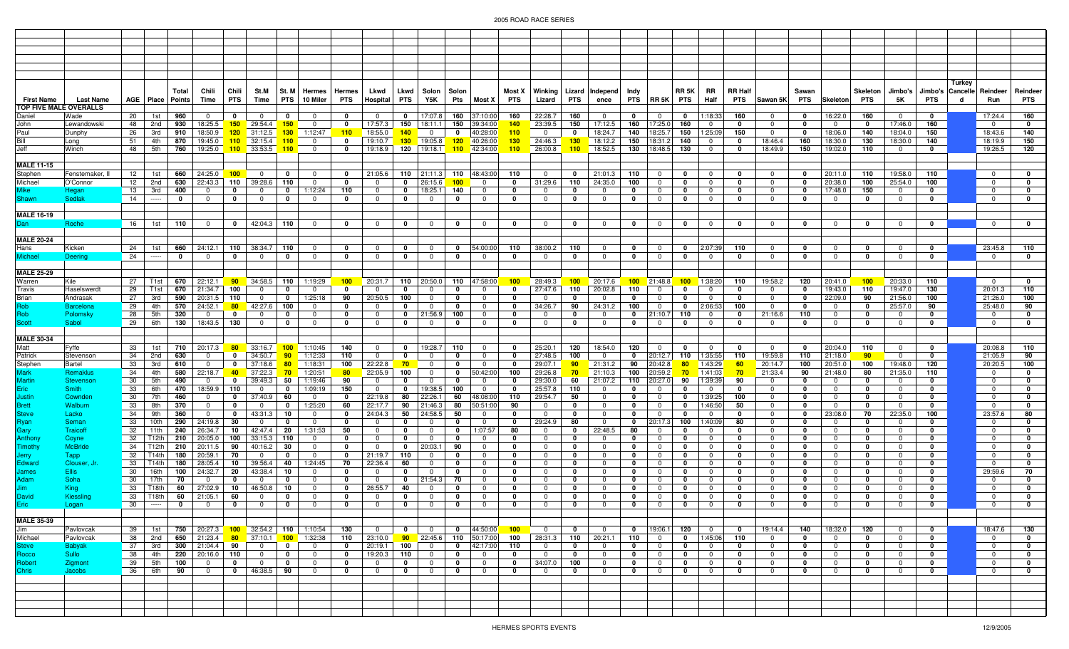| <b>First Name</b>            | <b>Last Name</b><br>TOP FIVE MALE OVERALLS |          |                         | Total<br>AGE   Place   Points | Chili<br>Time                      | Chili<br><b>PTS</b> | St.M<br>Time                     | PTS                          | St. M Hermes<br>10 Miler                                 | Hermes<br>PTS               | Lkwd<br>Hospital           | PTS                         | Lkwd   Solon<br>Y5K                       | Solon<br>Pts                 | Most X                         | PTS                         | Lizard                        | PTS                | Most X   Winking   Lizard   Independ  <br>ence | Indy              | PTS RR 5K PTS                    | <b>RR 5K</b>                           | RR<br>Half                       | <b>RR Half</b>              | PTS Sawan 5K                | Sawan<br>PTS                 | Skeleton                      | Skeleton<br>PTS             | Jimbo's<br>5Κ              | <b>PTS</b>                              | Turkey<br>d | Jimbo's Cancelle Reindeer<br>Run | Reindeer<br><b>PTS</b>      |
|------------------------------|--------------------------------------------|----------|-------------------------|-------------------------------|------------------------------------|---------------------|----------------------------------|------------------------------|----------------------------------------------------------|-----------------------------|----------------------------|-----------------------------|-------------------------------------------|------------------------------|--------------------------------|-----------------------------|-------------------------------|--------------------|------------------------------------------------|-------------------|----------------------------------|----------------------------------------|----------------------------------|-----------------------------|-----------------------------|------------------------------|-------------------------------|-----------------------------|----------------------------|-----------------------------------------|-------------|----------------------------------|-----------------------------|
| Daniel                       | Wade                                       | 20       | 1st                     | 960                           | $^{\circ}$                         | $\mathbf{0}$        | $\mathbf 0$                      | 0                            | - 0                                                      | $\mathbf{0}$                | $\mathbf 0$                | $\mathbf{0}$                | 17:07.8                                   | 160                          | 37:10:00                       | 160                         | 22:28.7                       | 160                | $\mathbf{0}$                                   | 0                 | $\mathbf 0$                      | 0                                      | 1:18:33                          | 160                         | $\mathbf 0$                 | $\mathbf 0$                  | 16:22.0                       | 160                         | $\mathbf{0}$               | $\mathbf{0}$                            |             | 17:24.4                          | 160                         |
| John                         | Lewandowski                                | 48       | 2nd                     | 930                           | 18:25.5                            |                     | $150$ 29:54.4                    | 150 <sub>1</sub>             | $\overline{\mathbf{0}}$                                  | $\mathbf{0}$                | 17:57.3                    | 150                         | 18:11.1                                   | 150                          | 39:34:00                       | 140                         | 23:39.5                       | 150                | 17:12.5                                        | 160               | 17:25.0                          | 160                                    | $\mathbf 0$                      | - 0                         | $^{\circ}$                  | 0                            | $\mathbf 0$                   | 0                           | 17:46.0                    | 160                                     |             | $\mathbf{0}$                     | 0                           |
| Paul<br>Bill                 | Dunphy<br>Long                             | 26<br>51 | 3rd<br>4th              | 910<br>870                    | 18:50.9<br>19:45.0                 |                     | $120$ 31:12.5<br>$110$ 32:15.4   | 110                          | 130 1:12:47<br>$\Omega$                                  | 110<br>$\mathbf{0}$         | 18:55.0<br>19:10.7         | 140<br>130                  | $\overline{0}$<br>19:05.8                 | 0<br>120                     | 40:28:00<br>140:26:00          | 110<br>130                  | $^{\circ}$<br>24:46.3         | $\mathbf 0$<br>130 | 18:24.7<br>18:12.2                             | 140<br>150        | 8:25.7<br>18:31.2                | 150<br>140                             | 1:25:09<br>$\mathbf 0$           | 150<br>$\mathbf{0}$         | $^{\circ}$<br>18:46.4       | 0<br>160                     | 18:06.0<br>18:30.0            | 140<br>130                  | 18:04.0<br>18:30.0         | 150<br>140                              |             | 18:43.6<br>18:19.9               | 140<br>150                  |
| Jeff                         | Winch                                      | 48       | 5th                     | 760                           | 19:25.0                            |                     | $110$ 33:53.5                    | 110                          | $\overline{0}$                                           | $\mathbf{0}$                | 19:18.9                    | 120                         | 19:18.1                                   |                              | $110$ 42:34:00                 | 110                         | 26:00.8                       | 110                | 18:52.5                                        | 130               | 18:48.5                          | 130                                    | $\mathbf 0$                      | 0                           | 18:49.9                     | 150                          | 19:02.0                       | 110                         | $\mathbf{0}$               | 0                                       |             | 19:26.5                          | 120                         |
|                              |                                            |          |                         |                               |                                    |                     |                                  |                              |                                                          |                             |                            |                             |                                           |                              |                                |                             |                               |                    |                                                |                   |                                  |                                        |                                  |                             |                             |                              |                               |                             |                            |                                         |             |                                  |                             |
| <b>MALE 11-15</b>            |                                            |          |                         |                               |                                    |                     |                                  |                              |                                                          |                             |                            |                             |                                           |                              |                                |                             |                               |                    |                                                |                   |                                  |                                        |                                  |                             |                             |                              |                               |                             |                            |                                         |             |                                  |                             |
| Stephen<br>Michael           | Fenstemaker, II<br>O'Connor                | 12<br>12 | 1st<br>2nd              | 660<br>630                    | 24:25.0<br>22:43.3                 | 100 <sub>1</sub>    | $\Omega$<br><b>110</b> 39:28.6   | $\mathbf 0$<br>110           | - 0<br>$\overline{\mathbf{0}}$                           | $\mathbf 0$<br>$\mathbf 0$  | 21:05.6<br>$\mathbf 0$     | 110<br>$\mathbf 0$          | 21:11.3<br>26:15.6                        | 110<br>100                   | 48:43:00<br>$\mathbf 0$        | 110<br>$\mathbf 0$          | $^{\circ}$<br>31:29.6         | $\mathbf 0$<br>110 | 21:01.3<br>24:35.0                             | 110<br>100        | $\mathbf 0$<br>$\overline{0}$    | 0<br>$\mathbf 0$                       | $\Omega$<br>$\mathbf 0$          | 0<br>$\mathbf 0$            | $^{\circ}$<br>$\mathbf 0$   | $\mathbf{0}$<br>$\mathbf 0$  | 20:11.0<br>20:38.0            | 110<br>100                  | 19:58.0<br>25:54.0         | 110<br>100                              |             | $^{\circ}$<br>$\mathbf 0$        | $\mathbf{0}$<br>$\mathbf 0$ |
| Mike                         | Hegan                                      | 13       | 3rd                     | 400                           | $\Omega$                           | 0                   | $\mathbf 0$                      | $\mathbf 0$                  | 1:12:24                                                  | 110                         | $\mathbf 0$                | $\mathbf 0$                 | 18:25.1                                   | 140                          | $\mathbf 0$                    | $\mathbf 0$                 | $\mathbf{0}$                  | $\mathbf 0$        | $\Omega$                                       | 0                 | $\mathbf 0$                      | 0                                      | $^{\circ}$                       | $\mathbf 0$                 | $\mathbf 0$                 | $\mathbf{0}$                 | 17:48.0                       | 150                         | $\overline{0}$             | 0                                       |             | $\mathbf{0}$                     | 0                           |
| Shawn                        | <b>Sedlak</b>                              | 14       | 1.1.1.1                 | $\mathbf{0}$                  | $\mathbf 0$                        | $\mathbf{0}$        | $\mathbf 0$                      | $\mathbf 0$                  | $\Omega$                                                 | $\mathbf 0$                 | $\mathbf 0$                | $\mathbf 0$                 | $\overline{0}$                            | $\mathbf 0$                  | $\mathbf{0}$                   | $\mathbf 0$                 | $\mathbf 0$                   | $\mathbf 0$        | $^{\circ}$                                     | 0                 | $\mathbf 0$                      | $\mathbf 0$                            | $\mathbf 0$                      | $\mathbf{0}$                | $\mathbf 0$                 | $\mathbf{0}$                 | $\mathbf 0$                   | $\mathbf{0}$                | $\mathbf 0$                | $\mathbf 0$                             |             | $^{\circ}$                       | $\mathbf 0$                 |
|                              |                                            |          |                         |                               |                                    |                     |                                  |                              |                                                          |                             |                            |                             |                                           |                              |                                |                             |                               |                    |                                                |                   |                                  |                                        |                                  |                             |                             |                              |                               |                             |                            |                                         |             |                                  |                             |
| <b>MALE 16-19</b><br>Dan     | Roche                                      | 16       | 1st l                   | 110                           | $\overline{0}$                     |                     | $0 \mid 42:04.3 \mid 110$        |                              | $\overline{0}$                                           | $\mathbf{0}$                | $\mathbf{0}$               | $\mathbf{0}$                | $\overline{0}$                            | $\mathbf{0}$                 | $\mathbf 0$                    | $\mathbf 0$                 | $\overline{0}$                | $\mathbf 0$        | $\mathbf 0$                                    | $\mathbf 0$       | $\overline{0}$                   | $\mathbf{0}$                           | $\mathbf{0}$                     | $\mathbf{0}$                | $\mathbf 0$                 | $\mathbf 0$                  | $\mathbf 0$                   | $\mathbf 0$                 | $\mathbf 0$                | $\mathbf 0$                             |             | $\mathbf{0}$                     | $\mathbf{0}$                |
|                              |                                            |          |                         |                               |                                    |                     |                                  |                              |                                                          |                             |                            |                             |                                           |                              |                                |                             |                               |                    |                                                |                   |                                  |                                        |                                  |                             |                             |                              |                               |                             |                            |                                         |             |                                  |                             |
| <b>MALE 20-24</b>            |                                            |          |                         |                               |                                    |                     |                                  |                              |                                                          |                             |                            |                             |                                           |                              |                                |                             |                               |                    |                                                |                   |                                  |                                        |                                  |                             |                             |                              |                               |                             |                            |                                         |             |                                  |                             |
| Hans<br><b>Michael</b>       | Kicken<br>Deerino                          | 24<br>24 | 1st                     | $\mathbf 0$                   | 660 24:12.1<br>$\Omega$            | $\mathbf{0}$        | 110 38:34.7 110<br>$\mathbf 0$   | $\mathbf 0$                  | - 0<br>$\mathbf 0$                                       | $\mathbf{0}$<br>$\mathbf 0$ | $\mathbf 0$<br>$\mathbf 0$ | $\mathbf{0}$<br>$\mathbf 0$ | $\overline{0}$<br>$\overline{0}$          | $\mathbf{0}$<br>$\mathbf{0}$ | 54:00:00<br>$\mathbf 0$        | 110<br>$\mathbf 0$          | 38:00.2<br>$\mathbf 0$        | 110<br>$\mathbf 0$ | $\mathbf 0$<br>$\Omega$                        | 0<br>0            | $\mathbf 0$<br>$\mathbf 0$       | $\mathbf 0$<br>$\mathbf 0$             | 2:07:39<br>$\mathbf 0$           | 110<br>0                    | $\mathbf 0$<br>$\mathbf 0$  | $\mathbf 0$<br>0             | $\mathbf 0$<br>$\mathbf 0$    | 0<br>0                      | $\mathbf 0$<br>$\mathbf 0$ | $\mathbf 0$<br>$\mathbf 0$              |             | 23:45.8<br>$\overline{0}$        | 110<br>$\mathbf 0$          |
|                              |                                            |          |                         |                               |                                    |                     |                                  |                              |                                                          |                             |                            |                             |                                           |                              |                                |                             |                               |                    |                                                |                   |                                  |                                        |                                  |                             |                             |                              |                               |                             |                            |                                         |             |                                  |                             |
| <b>MALE 25-29</b>            |                                            |          |                         |                               |                                    |                     |                                  |                              |                                                          |                             |                            |                             |                                           |                              |                                |                             |                               |                    |                                                |                   |                                  |                                        |                                  |                             |                             |                              |                               |                             |                            |                                         |             |                                  |                             |
| Warren                       | Kile                                       | 27       | T1st                    | 670                           | 22:12.1                            | 90 <sub>o</sub>     | 34:58.5                          | 110                          | 1:19:29                                                  | 100 <sub>1</sub>            | 20:31.7                    | 110                         | 20:50.0                                   | 110                          | 47:58:00                       | 100 <sub>1</sub>            | 28:49.3                       | 100                | 20:17.6                                        | 100 <sub>1</sub>  | 21:48.8                          | 100                                    | 1:38:20                          | 110                         | 19:58.2                     | 120                          | 20:41.0                       | 100                         | 20:33.0                    | 110                                     |             | $\mathbf{0}$                     | $\mathbf 0$                 |
| Travis<br>Brian              | Haselswerdt<br>Andrasak                    | 29<br>27 | T <sub>1st</sub><br>3rd | 670<br>590                    | 21:34.7<br>20:31.5                 | 100<br>110          | $\Omega$<br>$^{\circ}$           | 0<br>$\mathbf 0$             | $\Omega$<br>1:25:18                                      | 0<br>90                     | $\Omega$<br>20:50.5        | $\mathbf{0}$<br>100         | 0<br>$\mathbf 0$                          | 0<br>$\mathbf{0}$            | $\Omega$<br>$^{\circ}$         | $\mathbf 0$<br>$\Omega$     | 27:47.6<br>$\mathbf{0}$       | 110<br>0           | 20:02.8<br>$\mathbf 0$                         | 110<br>0          | $\Omega$<br>$^{\circ}$           | 0<br>0                                 | $\mathbf 0$                      | 0<br>0                      | $\Omega$<br>$^{\circ}$      | $\mathbf{0}$<br>$\mathbf{0}$ | 19:43.0<br>22:09.0            | 110<br>90                   | 19:47.0<br>21:56.0         | 130<br>100                              |             | 20:01.3<br>21:26.0               | 110<br>100                  |
| Rob                          | <b>Barcelona</b>                           | 29       | 4th                     | 570                           | 24:52.1                            | 80 <sub>1</sub>     | 42:27.6 100                      |                              | $\Omega$                                                 | $\mathbf 0$                 | $\mathbf 0$                | $\mathbf{0}$                | $\overline{0}$                            | $\mathbf 0$                  | $\mathbf{0}$                   | $\mathbf 0$                 | 34:26.7                       | 90                 | 24:31.2                                        | 100               | $\overline{0}$                   | $\mathbf{0}$                           | 2:06:53                          | 100                         | $\mathbf 0$                 | $\mathbf 0$                  | $\overline{0}$                | $\mathbf 0$                 | 25:57.0                    | 90                                      |             | 25:48.0                          | 90                          |
| Rob                          | Polomsky                                   | 28       | 5th                     | 320                           | $\overline{\mathbf{0}}$            | $\mathbf 0$         | $\mathbf 0$                      | 0                            | $\mathbf 0$                                              | 0                           | $\mathbf 0$                | $\mathbf 0$                 | 21:56.9                                   | 100                          | $\mathbf 0$                    | $\mathbf 0$                 | $\mathbf 0$                   | $\mathbf 0$        | $\Omega$                                       | 0                 | 21:10.7                          | 110                                    | $\mathbf 0$                      | $\mathbf 0$                 | 21:16.6                     | 110                          | $\mathbf 0$                   | 0                           | $\overline{0}$             | $\mathbf 0$                             |             | $\mathbf 0$                      | 0                           |
| <b>Scott</b>                 | Sabol                                      | 29       | 6th                     |                               | 130 18:43.5                        | 130                 | $\mathbf 0$                      | $\mathbf{0}$                 | $\mathbf 0$                                              | $\mathbf 0$                 | $\mathbf 0$                | $\mathbf{0}$                | $\overline{0}$                            | $\mathbf{0}$                 | $\mathbf{0}$                   | $\mathbf 0$                 | $\mathbf 0$                   | $\mathbf 0$        | $\mathbf 0$                                    | $\mathbf 0$       | $\mathbf 0$                      | $\mathbf 0$                            | $\overline{0}$                   | $\mathbf 0$                 | $\mathbf 0$                 | 0                            | $\overline{0}$                | 0                           | $\mathbf{0}$               | 0                                       |             | $\mathbf 0$                      | $\mathbf 0$                 |
| <b>MALE 30-34</b>            |                                            |          |                         |                               |                                    |                     |                                  |                              |                                                          |                             |                            |                             |                                           |                              |                                |                             |                               |                    |                                                |                   |                                  |                                        |                                  |                             |                             |                              |                               |                             |                            |                                         |             |                                  |                             |
| Matt                         | Fyffe                                      | 33       | 1st                     | 710                           | 20:17.3                            | 80 <sub>1</sub>     | 33:16.7                          |                              | $100$ 1:10:45                                            | 140                         | $\mathbf 0$                | $\mathbf{0}$                | 19:28.7                                   | 110                          | $\mathbf 0$                    | $\mathbf 0$                 | 25:20.1                       | 120                | 18:54.0                                        | 120               | $\overline{0}$                   | $\mathbf 0$                            | $\mathbf 0$                      | $\mathbf 0$                 | $\mathbf 0$                 | $\mathbf{0}$                 | 20:04.0                       | 110                         | $\mathbf{0}$               | $\mathbf 0$                             |             | 20:08.8                          | 110                         |
| Patrick                      | Stevenson                                  | 34       | 2nd                     | 630                           | $\mathbf 0$                        | $\mathbf{0}$        | 34:50.7                          | 90                           | 1:12:33                                                  | 110                         | $\mathbf 0$                | $\mathbf 0$                 | $\overline{0}$                            | $\mathbf 0$                  | $\mathbf 0$                    | $\mathbf 0$                 | 27:48.5                       | 100                | $\mathbf 0$                                    | 0                 | 20:12.7                          | 110                                    | 1:35:55                          | 110                         | 19:59.8                     | 110                          | 21:18.0                       | 90                          | $\mathbf 0$                | $\mathbf 0$                             |             | 21:05.9                          | 90                          |
| Stephen<br>Mark              | Bartel<br>Remaklus                         | 33<br>34 | 3rd<br>4th              | 610<br>580                    | $\mathbf 0$<br>22:18.7             | $\mathbf{0}$<br>40  | 37:18.6<br>37:22.3               | 80<br>70                     | 1:18:31<br>1:20:51                                       | 100<br>80                   | 22:22.8<br>22:05.9         | - 70<br>100                 | $\mathbf 0$<br>$\overline{0}$             | $\mathbf{0}$<br>0            | $\mathbf{0}$<br>50:42:00       | 0<br>100                    | 29:07.1<br>29:26.8            | 90<br>70           | 21:31.2<br>21:10.3                             | 90<br>100         | 20:42.8<br>20:59.2               | 80<br>70                               | 1:43:29<br>1:41:03               | -60<br>70                   | 20:14.7<br>21:33.4          | 100<br>90                    | 20:51.0<br>21:48.0            | 100<br>80                   | 19:48.0<br>21:35.0         | 120<br>110                              |             | 20:20.5<br>$\mathbf 0$           | 100<br>0                    |
| Martin                       | Stevenson                                  | 30       | 5th                     | 490                           | $\Omega$                           | $\mathbf 0$         | 39:49.3                          | 50                           | 1:19:46                                                  | 90                          | $^{\circ}$                 | $\mathbf 0$                 | $\mathbf 0$                               | $\mathbf{0}$                 | $^{\circ}$                     | 0                           | 29:30.0                       | 60                 | 21:07.2                                        | 110               | 20:27.0                          | 90                                     | 1:39:39                          | 90                          | $^{\circ}$                  | 0                            | $\mathbf 0$                   | 0                           | $\mathbf 0$                | 0                                       |             | $\mathbf{0}$                     | 0                           |
| Eric                         | Smith                                      | 33       | 6th                     | 470                           | 18:59.9                            | 110                 | $\mathbf 0$                      | $\mathbf{0}$                 | 1:09:19                                                  | 150                         | $\mathbf 0$                | $\mathbf{0}$                | 19:38.5                                   | 100                          | $\mathbf 0$                    | $\mathbf 0$                 | 25:57.8                       | 110                | $\Omega$                                       | 0                 | $\mathbf 0$                      | 0                                      | $\mathbf 0$                      | $\mathbf{0}$                | $\mathbf 0$                 | 0                            | $\mathbf 0$                   | 0                           | $\mathbf 0$                | 0                                       |             | $^{\circ}$                       | 0                           |
| Justin                       | Cownden                                    | 30       | 7th                     | 460                           | $\Omega$                           | 0                   | 37:40.9                          | 60                           | $^{\circ}$                                               | $\mathbf 0$                 | 22:19.8                    | 80                          | 22:26.                                    | 60                           | 48:08:00                       | 110                         | 29:54.7                       | 50                 |                                                | 0                 | $\mathbf 0$                      | 0                                      | 1:39:25                          | 100                         | $^{\circ}$                  | 0                            | $\mathbf 0$                   | 0                           | $\mathbf{0}$               | 0                                       |             | $\mathbf{0}$                     | 0                           |
| <b>Brett</b><br><b>Steve</b> | Walburn<br>Lacko                           | 33<br>34 | 8th<br>9th              | 370<br>360                    | $\mathbf 0$<br>$^{\circ}$          | $\mathbf 0$<br>0    | $\Omega$<br>43:31.3              | $\mathbf{0}$<br>10           | 1:25:20<br>- 0                                           | 60<br>0                     | 22:17.7<br>24:04.3         | 90<br>50                    | 21:46.3<br>24:58.5                        | 80<br>50                     | 50:51:00<br>$\mathbf{0}$       | 90<br>0                     | $\mathbf 0$<br>$\mathbf 0$    | $\mathbf 0$<br>0   | 0<br>$\Omega$                                  | 0<br>0            | $\mathbf 0$<br>$\mathbf{0}$      | 0<br>0                                 | 1:46:50<br>0                     | 50<br>0                     | $\mathbf 0$<br>$^{\circ}$   | $\mathbf 0$<br>$\mathbf 0$   | $\mathbf 0$<br>23:08.0        | 0<br>70                     | $\mathbf 0$<br>22:35.0     | 0<br>100                                |             | $\overline{0}$<br>23:57.6        | 0<br>80                     |
| Ryan                         | Seman                                      | 33       | 10th                    | 290                           | 24:19.8                            | 30                  | $\Omega$                         | 0                            | $\Omega$                                                 | $\mathbf 0$                 | $^{\circ}$                 | $\mathbf 0$                 | $\overline{0}$                            | $\mathbf{0}$                 | $\mathbf{0}$                   | $\mathbf 0$                 | 29:24.9                       | 80                 | $\mathbf{0}$                                   | 0                 | 20:17.3                          | 100                                    | 1:40:09                          | 80                          | $^{\circ}$                  | 0                            | $\mathbf 0$                   | 0                           | $\mathbf 0$                | $\mathbf 0$                             |             | $\overline{0}$                   | 0                           |
| Gary<br>Anthony<br>Timothy   | Traicoff                                   | 32       | 11th                    | 240                           | 26:34.7                            |                     | 10 $42:47.4$ 20                  |                              | 1:31:53                                                  | 50                          | $\overline{0}$             | $\mathbf{0}$                | $\overline{0}$                            | $\mathbf 0$                  | 1:07:57                        | 80                          | $\mathbf 0$                   | $\mathbf 0$        | 22:48.5                                        | 80                | $^{\circ}$                       | 0                                      | $\Omega$                         | 0                           | $\mathbf 0$                 | 0                            | $\mathbf 0$                   | 0                           | 0                          | 0                                       |             | $\overline{0}$                   | 0                           |
|                              | Coyne<br><b>McBride</b>                    | 32<br>34 | T12th<br>T12th          | 210<br>210                    | 20:05.0<br>20:11.5                 | 100<br>90           | 33:15.3<br>40:16.2               | 110<br>-30                   | $^{\circ}$<br>$\Omega$                                   | $\mathbf 0$<br>$\mathbf 0$  | $\mathbf 0$<br>$\mathbf 0$ | $\mathbf 0$<br>$\mathbf 0$  | $\mathbf 0$<br>20:03.1                    | $\mathbf 0$<br>90            | $\mathbf 0$<br>$\mathbf{0}$    | 0<br>$\mathbf 0$            | $\mathbf 0$                   | 0<br>0             | $\Omega$<br>0                                  | 0<br>0            | $\overline{0}$<br>$\mathbf 0$    | $\mathbf 0$<br>0                       | $^{\circ}$<br>$^{\circ}$         | $\mathbf 0$<br>$\mathbf 0$  | $\mathbf 0$<br>$^{\circ}$   | 0<br>$\mathbf 0$             | $\mathbf 0$<br>$\mathbf 0$    | $\mathbf 0$<br>0            | $\mathbf 0$                | 0<br>$\mathbf 0$                        |             | $\mathbf{0}$<br>$\overline{0}$   | 0<br>$\mathbf 0$            |
| Jerry                        | Тарр                                       | 32       | T <sub>14</sub> th      | 180                           | 20:59.1                            | 70                  | $\mathbf 0$                      | 0                            | $^{\circ}$                                               | $\mathbf 0$                 | 21:19.7                    | 110                         | $\overline{0}$                            | 0                            | $\mathbf 0$                    | 0                           | $\mathbf 0$<br>$^{\circ}$     | 0                  | $\Omega$                                       | 0                 | $\mathbf 0$                      | 0                                      | $^{\circ}$                       | 0                           | $\Omega$                    | $\mathbf{0}$                 | $^{\circ}$                    | 0                           | $\mathbf 0$<br>$\Omega$    | 0                                       |             | $\mathbf{0}$                     | 0                           |
| Edward                       | Clouser, Jr                                | 33       | T14th                   | 180                           | 28:05.4                            | 10                  | 39:56.4                          | 40                           | 1:24:45                                                  | 70                          | 22:36.4                    | 60                          | $\mathbf 0$                               | $\mathbf{0}$                 | $^{\circ}$                     | 0                           | $\mathbf 0$                   | $\mathbf 0$        | $\Omega$                                       | 0                 | $\mathbf 0$                      | 0                                      | $\mathbf 0$                      | 0                           | $^{\circ}$                  | 0                            | $^{\circ}$                    | 0                           | $\Omega$                   | 0                                       |             | $\mathbf{0}$                     | 0                           |
| James                        | Ellis                                      | 30       | 16th                    | 100                           | 24:32.7                            | 20                  | 43:38.4                          | 10                           | $\Omega$                                                 | $\mathbf 0$                 | $\mathbf 0$                | $\mathbf 0$                 | $\overline{0}$                            | $\mathbf{0}$                 | $^{\circ}$                     | $\mathbf 0$                 | $\mathbf 0$                   | $\mathbf 0$        | $\mathbf 0$                                    | 0                 | $\overline{0}$                   | $\mathbf{0}$                           | $\mathbf 0$                      | $\mathbf 0$                 | $^{\circ}$                  | 0                            | $^{\circ}$                    | 0                           | $\mathbf 0$                | $\mathbf 0$                             |             | 29:59.6                          | 70                          |
| Adam<br>Jim                  | Soha<br>King                               | 30<br>33 | 17th<br>T18th           | 70<br>60                      | $\overline{\mathbf{0}}$<br>27:02.9 | 0<br>10             | $\mathbf 0$<br>46:50.8           | 0<br>10                      | 0<br>$\Omega$                                            | $\mathbf 0$<br>$\mathbf 0$  | $\mathbf 0$<br>26:55.7     | $\mathbf 0$<br>40           | 21:54.3<br>$\mathbf 0$                    | 70<br>$\mathbf 0$            | $\mathbf 0$<br>$\mathbf 0$     | $\mathbf{0}$<br>$\Omega$    | $\mathbf 0$<br>$\Omega$       | $\mathbf 0$<br>0   |                                                | 0<br>0            | $\mathbf 0$<br>$\mathbf 0$       | 0<br>0                                 | $^{\circ}$<br>$^{\circ}$         | 0<br>$\mathbf{0}$           | $^{\circ}$<br>$\Omega$      | 0<br>$\mathbf{0}$            | $^{\circ}$<br>$^{\circ}$      | 0<br>0                      | $\mathbf 0$<br>0           | 0<br>0                                  |             | $\overline{0}$<br>$\overline{0}$ | 0<br>0                      |
| David                        | Kiessling                                  | 33       | T <sub>18th</sub>       | 60                            | 21:05.1                            | 60                  | $^{\circ}$                       | $\mathbf{0}$                 | 0                                                        | 0                           | $\Omega$                   | 0                           | $\mathbf{0}$                              | 0                            | $\mathbf{0}$                   | 0                           | $^{\circ}$                    | $\mathbf 0$        |                                                | 0                 | $\mathbf 0$                      | 0                                      | $^{\circ}$                       | 0                           | $\Omega$                    | $\mathbf{0}$                 | $^{\circ}$                    | 0                           | $\Omega$                   | 0                                       |             | $\Omega$                         | 0                           |
| Eric                         | Logan                                      |          |                         | 30 ---- 0 0                   |                                    |                     |                                  |                              | $\overline{\mathbf{0}}$                                  | $\mathbf{0}$                | $\mathbf 0$                | $\overline{\mathbf{0}}$     | $\overline{\mathbf{0}}$                   | $\overline{\mathbf{0}}$      | $\overline{\mathbf{0}}$        | $\mathbf{0}$                | $\overline{0}$                | $\mathbf{0}$       | $\mathbf 0$                                    | $\mathbf{0}$      |                                  | $\begin{array}{c c} 0 & 0 \end{array}$ | $\overline{\mathbf{0}}$          | $\mathbf{0}$                | $\mathbf{0}$                | $\mathbf{0}$                 | $\overline{\mathbf{0}}$       | $\mathbf{0}$                | $\mathbf{0}$               | $\mathbf{0}$                            |             | $\mathbf{0}$                     | $\mathbf{0}$                |
|                              |                                            |          |                         |                               |                                    |                     |                                  |                              |                                                          |                             |                            |                             |                                           |                              |                                |                             |                               |                    |                                                |                   |                                  |                                        |                                  |                             |                             |                              |                               |                             |                            |                                         |             |                                  |                             |
| <b>MALE 35-39</b><br>Jim     | Pavlovcak                                  | 39       | 1st l                   |                               |                                    |                     |                                  |                              | <b>750</b> 20:27.3 <b>100</b> 32:54.2 <b>110</b> 1:10:54 | 130                         | $\overline{0}$             | $\mathbf{0}$                | $\overline{0}$                            |                              | 0 $ 44:50:00 $                 | $-100$                      | $\overline{0}$                | $\mathbf{0}$       | $\mathbf 0$                                    |                   | $0$   19:06.1   120              |                                        | $\overline{\mathbf{0}}$          | $\mathbf{0}$                | 19:14.4                     | 140                          | 18:32.0                       | 120                         | $\mathbf 0$                | $\mathbf{0}$                            |             | 18:47.6                          | 130                         |
| Michael                      | Pavlovcak                                  | 38 I     | 2nd                     |                               | 650 21:23.4                        |                     |                                  |                              | <b>80</b> 37:10.1 <b>100</b> 1:32:38                     | 110                         | 23:10.0                    |                             | <b>90</b> 22:45.6                         |                              | 110 50:17:00                   | 100                         | 28:31.3                       | 110                | 20:21.1                                        | 110               | $\overline{0}$                   | $\mathbf{0}$                           | 1:45:06                          | 110                         | $\mathbf 0$                 | 0                            | $\mathbf 0$                   | 0                           | $\mathbf 0$                | $\mathbf{0}$                            |             | $\overline{0}$                   | $\mathbf{0}$                |
| <b>Steve</b>                 | <b>Babyak</b>                              | 37       | 3rd                     |                               | 300 21:04.4                        | 90                  | $\mathbf{0}$                     | $\mathbf{0}$                 | $\overline{0}$                                           | $\mathbf{0}$                | 20:19.1                    | 100                         | $\overline{0}$                            | $\mathbf{0}$                 | 42:17:00                       | 110                         | $\overline{0}$                | $\mathbf 0$        | $\mathbf 0$                                    | $\mathbf{0}$      | $\overline{0}$                   | $\mathbf{0}$                           | $\overline{0}$                   | $\mathbf{0}$                | $\mathbf 0$                 | $\mathbf{0}$                 | $\overline{0}$                | $\mathbf 0$                 | $\mathbf 0$                | $\mathbf 0$                             |             | $\mathbf{0}$                     | $\mathbf 0$                 |
| Rocco<br>Robert              | Sullo<br>Zigmont                           | 38<br>39 | 4th I<br>5th            | 100                           | 220 20:16.0 110<br>$\overline{0}$  | $\mathbf{0}$        | $\overline{0}$<br>$\overline{0}$ | $\mathbf{0}$<br>$\mathbf{0}$ | $\overline{0}$<br>$\overline{0}$                         | $\mathbf{0}$<br>$\mathbf 0$ | 19:20.3<br>$\overline{0}$  | 110  <br>$\mathbf{0}$       | $\overline{\mathbf{0}}$<br>$\overline{0}$ | $\mathbf{0}$<br>$\mathbf{0}$ | $\overline{0}$<br>$\mathbf{0}$ | $\mathbf{0}$<br>$\mathbf 0$ | $\overline{0}$<br>34:07.0 100 | $\mathbf{0}$       | $\mathbf 0$<br>0                               | $\mathbf{0}$<br>0 | $\overline{0}$<br>$\overline{0}$ | $\mathbf{0}$<br>$\mathbf{0}$           | $\overline{0}$<br>$\overline{0}$ | $\mathbf{0}$<br>$\mathbf 0$ | $\mathbf{0}$<br>$\mathbf 0$ | $\mathbf{0}$<br>$\mathbf 0$  | $\overline{0}$<br>$\mathbf 0$ | $\mathbf{0}$<br>$\mathbf 0$ | $\mathbf 0$<br>$\mathbf 0$ | $\overline{\mathbf{0}}$<br>$\mathbf{0}$ |             | $\mathbf{0}$<br>$\mathbf{0}$     | $\mathbf{0}$<br>$\mathbf 0$ |
| <b>Chris</b>                 | <b>Jacobs</b>                              |          | 36 6th                  | 90                            | $\overline{0}$                     |                     | $0 \mid 46:38.5 \mid 90$         |                              | $\overline{0}$                                           | $\mathbf{0}$                | $\mathbf{0}$               | $\mathbf{0}$                | $\overline{0}$                            | $\mathbf{0}$                 | $\overline{0}$                 | $\mathbf{0}$                | $\mathbf{0}$                  | $\mathbf{0}$       | $\overline{0}$                                 | $\mathbf{0}$      | $\overline{0}$                   | $\mathbf{0}$                           | $\overline{0}$                   | $\mathbf 0$                 | $\overline{0}$              | $\mathbf 0$                  | $\mathbf 0$                   | $\mathbf{0}$                | $\mathbf 0$                | $\mathbf{0}$                            |             | $\mathbf{0}$                     | $\mathbf{0}$                |
|                              |                                            |          |                         |                               |                                    |                     |                                  |                              |                                                          |                             |                            |                             |                                           |                              |                                |                             |                               |                    |                                                |                   |                                  |                                        |                                  |                             |                             |                              |                               |                             |                            |                                         |             |                                  |                             |
|                              |                                            |          |                         |                               |                                    |                     |                                  |                              |                                                          |                             |                            |                             |                                           |                              |                                |                             |                               |                    |                                                |                   |                                  |                                        |                                  |                             |                             |                              |                               |                             |                            |                                         |             |                                  |                             |
|                              |                                            |          |                         |                               |                                    |                     |                                  |                              |                                                          |                             |                            |                             |                                           |                              |                                |                             |                               |                    |                                                |                   |                                  |                                        |                                  |                             |                             |                              |                               |                             |                            |                                         |             |                                  |                             |
|                              |                                            |          |                         |                               |                                    |                     |                                  |                              |                                                          |                             |                            |                             |                                           |                              |                                |                             |                               |                    |                                                |                   |                                  |                                        |                                  |                             |                             |                              |                               |                             |                            |                                         |             |                                  |                             |